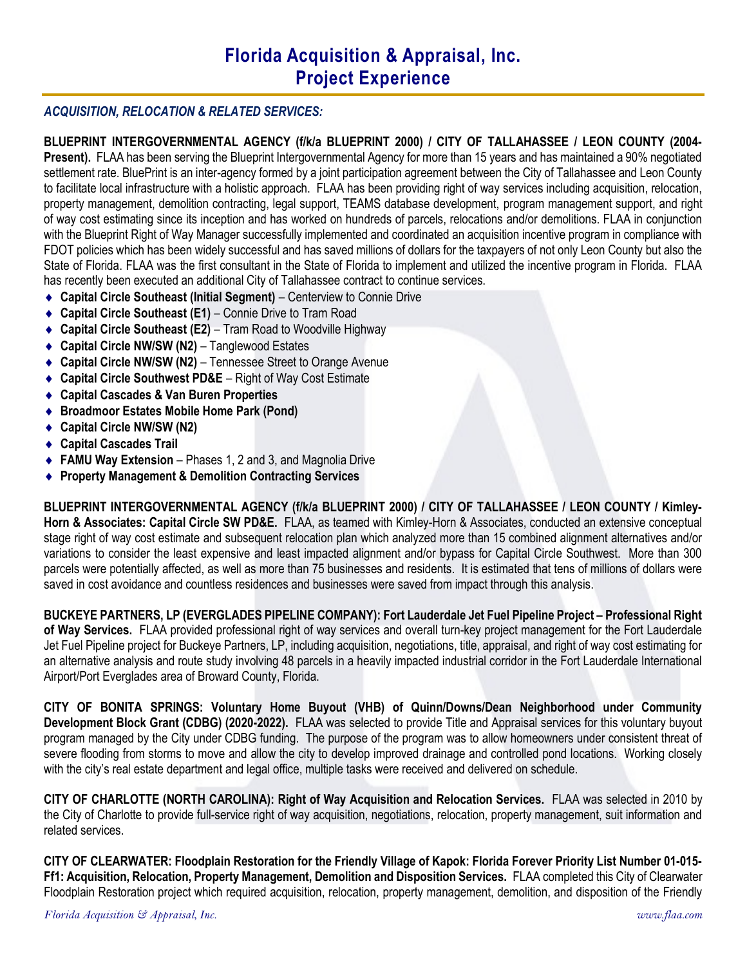### ACQUISITION, RELOCATION & RELATED SERVICES:

BLUEPRINT INTERGOVERNMENTAL AGENCY (f/k/a BLUEPRINT 2000) / CITY OF TALLAHASSEE / LEON COUNTY (2004- Present). FLAA has been serving the Blueprint Intergovernmental Agency for more than 15 years and has maintained a 90% negotiated settlement rate. BluePrint is an inter-agency formed by a joint participation agreement between the City of Tallahassee and Leon County to facilitate local infrastructure with a holistic approach. FLAA has been providing right of way services including acquisition, relocation, property management, demolition contracting, legal support, TEAMS database development, program management support, and right of way cost estimating since its inception and has worked on hundreds of parcels, relocations and/or demolitions. FLAA in conjunction with the Blueprint Right of Way Manager successfully implemented and coordinated an acquisition incentive program in compliance with FDOT policies which has been widely successful and has saved millions of dollars for the taxpayers of not only Leon County but also the State of Florida. FLAA was the first consultant in the State of Florida to implement and utilized the incentive program in Florida. FLAA has recently been executed an additional City of Tallahassee contract to continue services.

- ◆ Capital Circle Southeast (Initial Segment) Centerview to Connie Drive
- ◆ Capital Circle Southeast (E1) Connie Drive to Tram Road
- ◆ Capital Circle Southeast (E2) Tram Road to Woodville Highway
- ◆ Capital Circle NW/SW (N2) Tanglewood Estates
- Capital Circle NW/SW (N2) Tennessee Street to Orange Avenue
- ◆ Capital Circle Southwest PD&E Right of Way Cost Estimate
- Capital Cascades & Van Buren Properties
- ◆ Broadmoor Estates Mobile Home Park (Pond)
- ◆ Capital Circle NW/SW (N2)
- Capital Cascades Trail
- ◆ FAMU Way Extension Phases 1, 2 and 3, and Magnolia Drive
- ◆ Property Management & Demolition Contracting Services

BLUEPRINT INTERGOVERNMENTAL AGENCY (f/k/a BLUEPRINT 2000) / CITY OF TALLAHASSEE / LEON COUNTY / Kimley-Horn & Associates: Capital Circle SW PD&E. FLAA, as teamed with Kimley-Horn & Associates, conducted an extensive conceptual stage right of way cost estimate and subsequent relocation plan which analyzed more than 15 combined alignment alternatives and/or variations to consider the least expensive and least impacted alignment and/or bypass for Capital Circle Southwest. More than 300 parcels were potentially affected, as well as more than 75 businesses and residents. It is estimated that tens of millions of dollars were saved in cost avoidance and countless residences and businesses were saved from impact through this analysis.

BUCKEYE PARTNERS, LP (EVERGLADES PIPELINE COMPANY): Fort Lauderdale Jet Fuel Pipeline Project – Professional Right of Way Services. FLAA provided professional right of way services and overall turn-key project management for the Fort Lauderdale Jet Fuel Pipeline project for Buckeye Partners, LP, including acquisition, negotiations, title, appraisal, and right of way cost estimating for an alternative analysis and route study involving 48 parcels in a heavily impacted industrial corridor in the Fort Lauderdale International Airport/Port Everglades area of Broward County, Florida.

CITY OF BONITA SPRINGS: Voluntary Home Buyout (VHB) of Quinn/Downs/Dean Neighborhood under Community Development Block Grant (CDBG) (2020-2022). FLAA was selected to provide Title and Appraisal services for this voluntary buyout program managed by the City under CDBG funding. The purpose of the program was to allow homeowners under consistent threat of severe flooding from storms to move and allow the city to develop improved drainage and controlled pond locations. Working closely with the city's real estate department and legal office, multiple tasks were received and delivered on schedule.

CITY OF CHARLOTTE (NORTH CAROLINA): Right of Way Acquisition and Relocation Services. FLAA was selected in 2010 by the City of Charlotte to provide full-service right of way acquisition, negotiations, relocation, property management, suit information and related services.

CITY OF CLEARWATER: Floodplain Restoration for the Friendly Village of Kapok: Florida Forever Priority List Number 01-015- Ff1: Acquisition, Relocation, Property Management, Demolition and Disposition Services. FLAA completed this City of Clearwater Floodplain Restoration project which required acquisition, relocation, property management, demolition, and disposition of the Friendly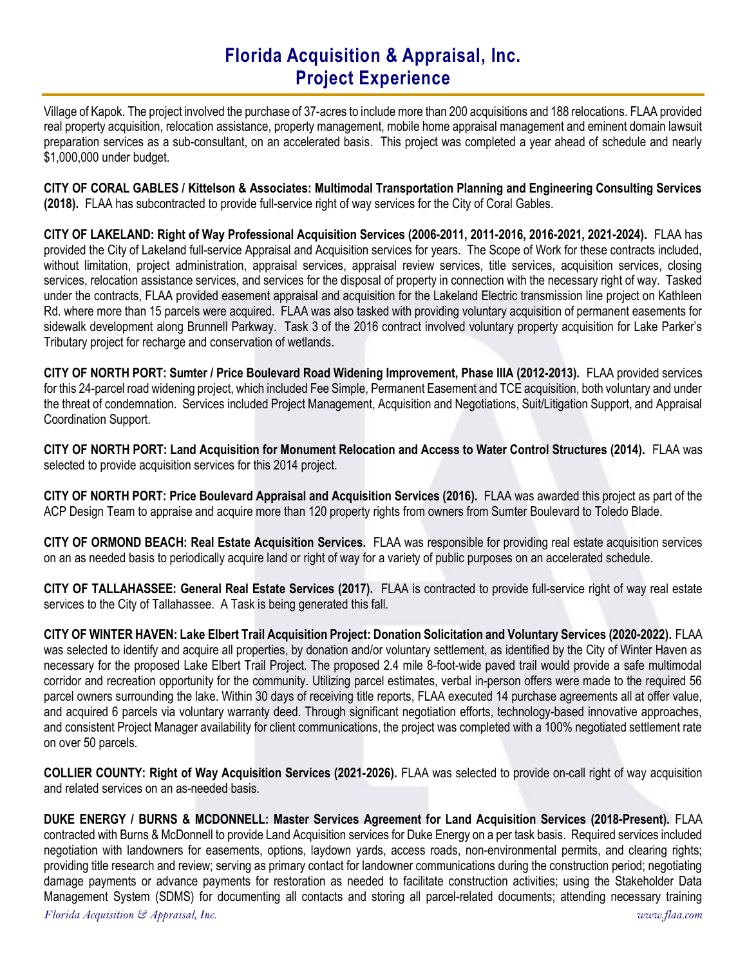Village of Kapok. The project involved the purchase of 37-acres to include more than 200 acquisitions and 188 relocations. FLAA provided real property acquisition, relocation assistance, property management, mobile home appraisal management and eminent domain lawsuit preparation services as a sub-consultant, on an accelerated basis. This project was completed a year ahead of schedule and nearly \$1,000,000 under budget.

CITY OF CORAL GABLES / Kittelson & Associates: Multimodal Transportation Planning and Engineering Consulting Services (2018). FLAA has subcontracted to provide full-service right of way services for the City of Coral Gables.

CITY OF LAKELAND: Right of Way Professional Acquisition Services (2006-2011, 2011-2016, 2016-2021, 2021-2024). FLAA has provided the City of Lakeland full-service Appraisal and Acquisition services for years. The Scope of Work for these contracts included, without limitation, project administration, appraisal services, appraisal review services, title services, acquisition services, closing services, relocation assistance services, and services for the disposal of property in connection with the necessary right of way. Tasked under the contracts, FLAA provided easement appraisal and acquisition for the Lakeland Electric transmission line project on Kathleen Rd. where more than 15 parcels were acquired. FLAA was also tasked with providing voluntary acquisition of permanent easements for sidewalk development along Brunnell Parkway. Task 3 of the 2016 contract involved voluntary property acquisition for Lake Parker's Tributary project for recharge and conservation of wetlands.

CITY OF NORTH PORT: Sumter / Price Boulevard Road Widening Improvement, Phase IIIA (2012-2013). FLAA provided services for this 24-parcel road widening project, which included Fee Simple, Permanent Easement and TCE acquisition, both voluntary and under the threat of condemnation. Services included Project Management, Acquisition and Negotiations, Suit/Litigation Support, and Appraisal Coordination Support.

CITY OF NORTH PORT: Land Acquisition for Monument Relocation and Access to Water Control Structures (2014). FLAA was selected to provide acquisition services for this 2014 project.

CITY OF NORTH PORT: Price Boulevard Appraisal and Acquisition Services (2016). FLAA was awarded this project as part of the ACP Design Team to appraise and acquire more than 120 property rights from owners from Sumter Boulevard to Toledo Blade.

CITY OF ORMOND BEACH: Real Estate Acquisition Services. FLAA was responsible for providing real estate acquisition services on an as needed basis to periodically acquire land or right of way for a variety of public purposes on an accelerated schedule.

CITY OF TALLAHASSEE: General Real Estate Services (2017). FLAA is contracted to provide full-service right of way real estate services to the City of Tallahassee. A Task is being generated this fall.

CITY OF WINTER HAVEN: Lake Elbert Trail Acquisition Project: Donation Solicitation and Voluntary Services (2020-2022). FLAA was selected to identify and acquire all properties, by donation and/or voluntary settlement, as identified by the City of Winter Haven as necessary for the proposed Lake Elbert Trail Project. The proposed 2.4 mile 8-foot-wide paved trail would provide a safe multimodal corridor and recreation opportunity for the community. Utilizing parcel estimates, verbal in-person offers were made to the required 56 parcel owners surrounding the lake. Within 30 days of receiving title reports, FLAA executed 14 purchase agreements all at offer value, and acquired 6 parcels via voluntary warranty deed. Through significant negotiation efforts, technology-based innovative approaches, and consistent Project Manager availability for client communications, the project was completed with a 100% negotiated settlement rate on over 50 parcels.

COLLIER COUNTY: Right of Way Acquisition Services (2021-2026). FLAA was selected to provide on-call right of way acquisition and related services on an as-needed basis.

Florida Acquisition  $\mathfrak{S}$  Appraisal, Inc. www.flaa.com DUKE ENERGY / BURNS & MCDONNELL: Master Services Agreement for Land Acquisition Services (2018-Present). FLAA contracted with Burns & McDonnell to provide Land Acquisition services for Duke Energy on a per task basis. Required services included negotiation with landowners for easements, options, laydown yards, access roads, non-environmental permits, and clearing rights; providing title research and review; serving as primary contact for landowner communications during the construction period; negotiating damage payments or advance payments for restoration as needed to facilitate construction activities; using the Stakeholder Data Management System (SDMS) for documenting all contacts and storing all parcel-related documents; attending necessary training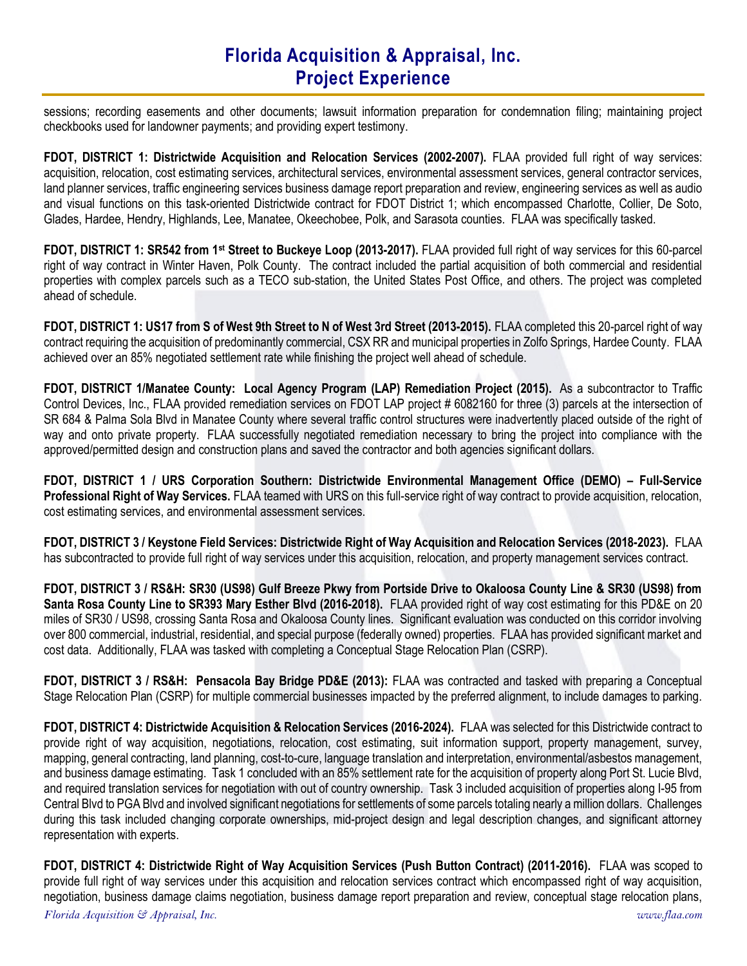sessions; recording easements and other documents; lawsuit information preparation for condemnation filing; maintaining project checkbooks used for landowner payments; and providing expert testimony.

FDOT, DISTRICT 1: Districtwide Acquisition and Relocation Services (2002-2007). FLAA provided full right of way services: acquisition, relocation, cost estimating services, architectural services, environmental assessment services, general contractor services, land planner services, traffic engineering services business damage report preparation and review, engineering services as well as audio and visual functions on this task-oriented Districtwide contract for FDOT District 1; which encompassed Charlotte, Collier, De Soto, Glades, Hardee, Hendry, Highlands, Lee, Manatee, Okeechobee, Polk, and Sarasota counties. FLAA was specifically tasked.

FDOT, DISTRICT 1: SR542 from 1st Street to Buckeye Loop (2013-2017). FLAA provided full right of way services for this 60-parcel right of way contract in Winter Haven, Polk County. The contract included the partial acquisition of both commercial and residential properties with complex parcels such as a TECO sub-station, the United States Post Office, and others. The project was completed ahead of schedule.

FDOT, DISTRICT 1: US17 from S of West 9th Street to N of West 3rd Street (2013-2015). FLAA completed this 20-parcel right of way contract requiring the acquisition of predominantly commercial, CSX RR and municipal properties in Zolfo Springs, Hardee County. FLAA achieved over an 85% negotiated settlement rate while finishing the project well ahead of schedule.

FDOT, DISTRICT 1/Manatee County: Local Agency Program (LAP) Remediation Project (2015). As a subcontractor to Traffic Control Devices, Inc., FLAA provided remediation services on FDOT LAP project # 6082160 for three (3) parcels at the intersection of SR 684 & Palma Sola Blvd in Manatee County where several traffic control structures were inadvertently placed outside of the right of way and onto private property. FLAA successfully negotiated remediation necessary to bring the project into compliance with the approved/permitted design and construction plans and saved the contractor and both agencies significant dollars.

FDOT, DISTRICT 1 / URS Corporation Southern: Districtwide Environmental Management Office (DEMO) – Full-Service Professional Right of Way Services. FLAA teamed with URS on this full-service right of way contract to provide acquisition, relocation, cost estimating services, and environmental assessment services.

FDOT, DISTRICT 3 / Keystone Field Services: Districtwide Right of Way Acquisition and Relocation Services (2018-2023). FLAA has subcontracted to provide full right of way services under this acquisition, relocation, and property management services contract.

FDOT, DISTRICT 3 / RS&H: SR30 (US98) Gulf Breeze Pkwy from Portside Drive to Okaloosa County Line & SR30 (US98) from Santa Rosa County Line to SR393 Mary Esther Blvd (2016-2018). FLAA provided right of way cost estimating for this PD&E on 20 miles of SR30 / US98, crossing Santa Rosa and Okaloosa County lines. Significant evaluation was conducted on this corridor involving over 800 commercial, industrial, residential, and special purpose (federally owned) properties. FLAA has provided significant market and cost data. Additionally, FLAA was tasked with completing a Conceptual Stage Relocation Plan (CSRP).

FDOT, DISTRICT 3 / RS&H: Pensacola Bay Bridge PD&E (2013): FLAA was contracted and tasked with preparing a Conceptual Stage Relocation Plan (CSRP) for multiple commercial businesses impacted by the preferred alignment, to include damages to parking.

FDOT, DISTRICT 4: Districtwide Acquisition & Relocation Services (2016-2024). FLAA was selected for this Districtwide contract to provide right of way acquisition, negotiations, relocation, cost estimating, suit information support, property management, survey, mapping, general contracting, land planning, cost-to-cure, language translation and interpretation, environmental/asbestos management, and business damage estimating. Task 1 concluded with an 85% settlement rate for the acquisition of property along Port St. Lucie Blvd, and required translation services for negotiation with out of country ownership. Task 3 included acquisition of properties along I-95 from Central Blvd to PGA Blvd and involved significant negotiations for settlements of some parcels totaling nearly a million dollars. Challenges during this task included changing corporate ownerships, mid-project design and legal description changes, and significant attorney representation with experts.

FDOT, DISTRICT 4: Districtwide Right of Way Acquisition Services (Push Button Contract) (2011-2016). FLAA was scoped to provide full right of way services under this acquisition and relocation services contract which encompassed right of way acquisition, negotiation, business damage claims negotiation, business damage report preparation and review, conceptual stage relocation plans,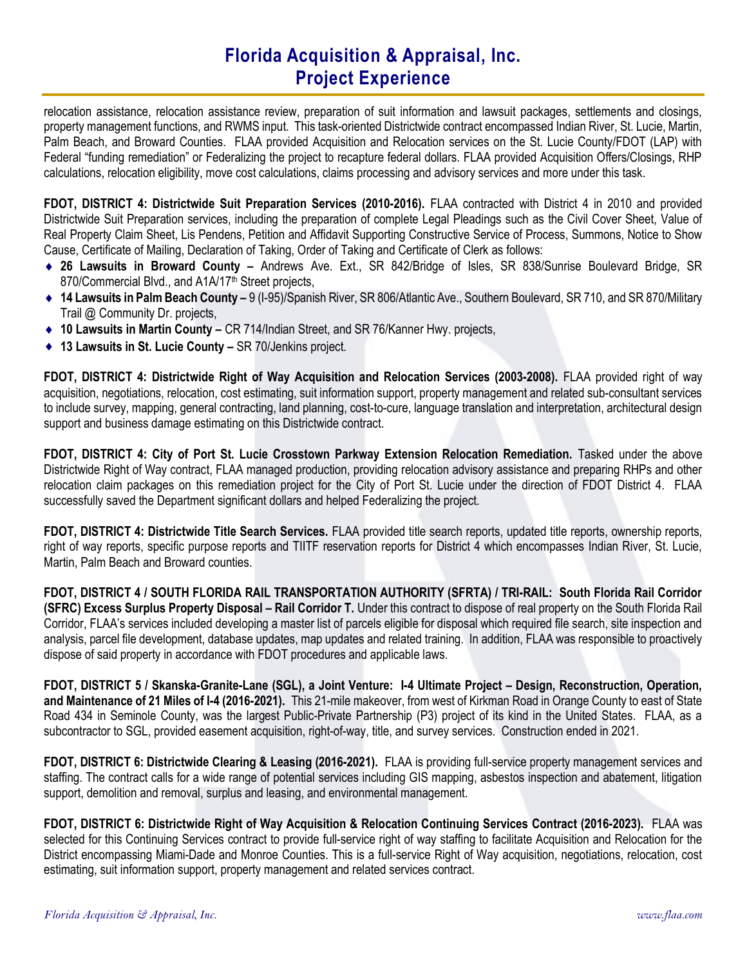relocation assistance, relocation assistance review, preparation of suit information and lawsuit packages, settlements and closings, property management functions, and RWMS input. This task-oriented Districtwide contract encompassed Indian River, St. Lucie, Martin, Palm Beach, and Broward Counties. FLAA provided Acquisition and Relocation services on the St. Lucie County/FDOT (LAP) with Federal "funding remediation" or Federalizing the project to recapture federal dollars. FLAA provided Acquisition Offers/Closings, RHP calculations, relocation eligibility, move cost calculations, claims processing and advisory services and more under this task.

FDOT, DISTRICT 4: Districtwide Suit Preparation Services (2010-2016). FLAA contracted with District 4 in 2010 and provided Districtwide Suit Preparation services, including the preparation of complete Legal Pleadings such as the Civil Cover Sheet, Value of Real Property Claim Sheet, Lis Pendens, Petition and Affidavit Supporting Constructive Service of Process, Summons, Notice to Show Cause, Certificate of Mailing, Declaration of Taking, Order of Taking and Certificate of Clerk as follows:

- 26 Lawsuits in Broward County Andrews Ave. Ext., SR 842/Bridge of Isles, SR 838/Sunrise Boulevard Bridge, SR 870/Commercial Blvd., and A1A/17<sup>th</sup> Street projects,
- ◆ 14 Lawsuits in Palm Beach County 9 (I-95)/Spanish River, SR 806/Atlantic Ave., Southern Boulevard, SR 710, and SR 870/Military Trail @ Community Dr. projects,
- ◆ 10 Lawsuits in Martin County CR 714/Indian Street, and SR 76/Kanner Hwy. projects,
- ◆ 13 Lawsuits in St. Lucie County SR 70/Jenkins project.

FDOT, DISTRICT 4: Districtwide Right of Way Acquisition and Relocation Services (2003-2008). FLAA provided right of way acquisition, negotiations, relocation, cost estimating, suit information support, property management and related sub-consultant services to include survey, mapping, general contracting, land planning, cost-to-cure, language translation and interpretation, architectural design support and business damage estimating on this Districtwide contract.

FDOT, DISTRICT 4: City of Port St. Lucie Crosstown Parkway Extension Relocation Remediation. Tasked under the above Districtwide Right of Way contract, FLAA managed production, providing relocation advisory assistance and preparing RHPs and other relocation claim packages on this remediation project for the City of Port St. Lucie under the direction of FDOT District 4. FLAA successfully saved the Department significant dollars and helped Federalizing the project.

FDOT, DISTRICT 4: Districtwide Title Search Services. FLAA provided title search reports, updated title reports, ownership reports, right of way reports, specific purpose reports and TIITF reservation reports for District 4 which encompasses Indian River, St. Lucie, Martin, Palm Beach and Broward counties.

FDOT, DISTRICT 4 / SOUTH FLORIDA RAIL TRANSPORTATION AUTHORITY (SFRTA) / TRI-RAIL: South Florida Rail Corridor (SFRC) Excess Surplus Property Disposal – Rail Corridor T. Under this contract to dispose of real property on the South Florida Rail Corridor, FLAA's services included developing a master list of parcels eligible for disposal which required file search, site inspection and analysis, parcel file development, database updates, map updates and related training. In addition, FLAA was responsible to proactively dispose of said property in accordance with FDOT procedures and applicable laws.

FDOT, DISTRICT 5 / Skanska-Granite-Lane (SGL), a Joint Venture: I-4 Ultimate Project – Design, Reconstruction, Operation, and Maintenance of 21 Miles of I-4 (2016-2021). This 21-mile makeover, from west of Kirkman Road in Orange County to east of State Road 434 in Seminole County, was the largest Public-Private Partnership (P3) project of its kind in the United States. FLAA, as a subcontractor to SGL, provided easement acquisition, right-of-way, title, and survey services. Construction ended in 2021.

FDOT, DISTRICT 6: Districtwide Clearing & Leasing (2016-2021). FLAA is providing full-service property management services and staffing. The contract calls for a wide range of potential services including GIS mapping, asbestos inspection and abatement, litigation support, demolition and removal, surplus and leasing, and environmental management.

FDOT, DISTRICT 6: Districtwide Right of Way Acquisition & Relocation Continuing Services Contract (2016-2023). FLAA was selected for this Continuing Services contract to provide full-service right of way staffing to facilitate Acquisition and Relocation for the District encompassing Miami-Dade and Monroe Counties. This is a full-service Right of Way acquisition, negotiations, relocation, cost estimating, suit information support, property management and related services contract.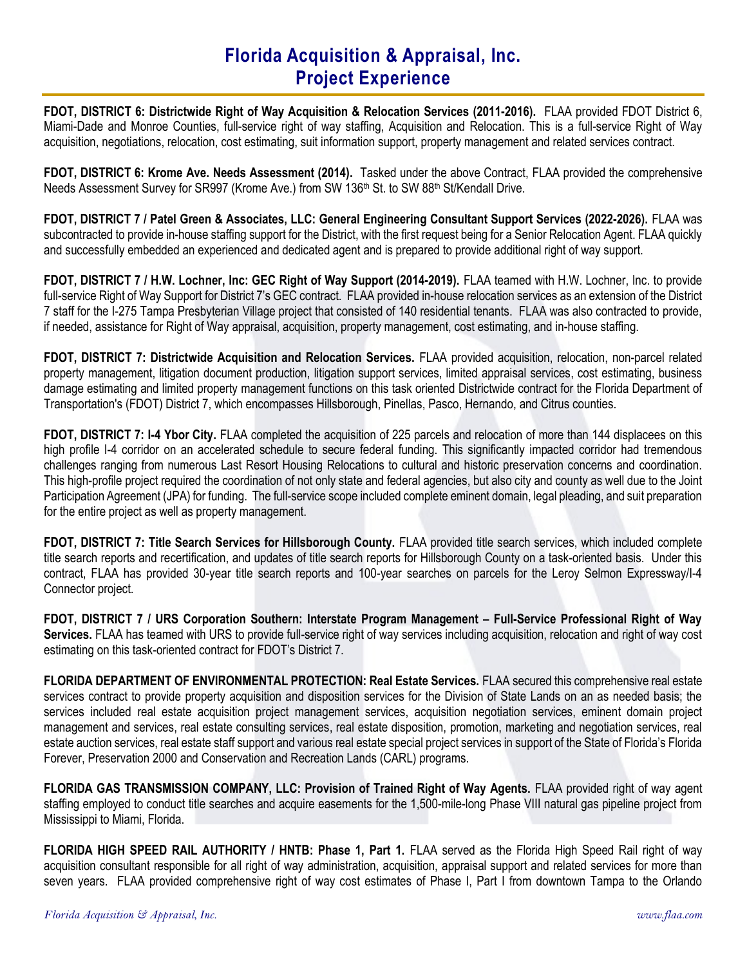FDOT, DISTRICT 6: Districtwide Right of Way Acquisition & Relocation Services (2011-2016). FLAA provided FDOT District 6, Miami-Dade and Monroe Counties, full-service right of way staffing, Acquisition and Relocation. This is a full-service Right of Way acquisition, negotiations, relocation, cost estimating, suit information support, property management and related services contract.

FDOT, DISTRICT 6: Krome Ave. Needs Assessment (2014). Tasked under the above Contract, FLAA provided the comprehensive Needs Assessment Survey for SR997 (Krome Ave.) from SW 136<sup>th</sup> St. to SW 88<sup>th</sup> St/Kendall Drive.

FDOT, DISTRICT 7 / Patel Green & Associates, LLC: General Engineering Consultant Support Services (2022-2026). FLAA was subcontracted to provide in-house staffing support for the District, with the first request being for a Senior Relocation Agent. FLAA quickly and successfully embedded an experienced and dedicated agent and is prepared to provide additional right of way support.

FDOT, DISTRICT 7 / H.W. Lochner, Inc: GEC Right of Way Support (2014-2019). FLAA teamed with H.W. Lochner, Inc. to provide full-service Right of Way Support for District 7's GEC contract. FLAA provided in-house relocation services as an extension of the District 7 staff for the I-275 Tampa Presbyterian Village project that consisted of 140 residential tenants. FLAA was also contracted to provide, if needed, assistance for Right of Way appraisal, acquisition, property management, cost estimating, and in-house staffing.

FDOT, DISTRICT 7: Districtwide Acquisition and Relocation Services. FLAA provided acquisition, relocation, non-parcel related property management, litigation document production, litigation support services, limited appraisal services, cost estimating, business damage estimating and limited property management functions on this task oriented Districtwide contract for the Florida Department of Transportation's (FDOT) District 7, which encompasses Hillsborough, Pinellas, Pasco, Hernando, and Citrus counties.

FDOT, DISTRICT 7: I-4 Ybor City. FLAA completed the acquisition of 225 parcels and relocation of more than 144 displacees on this high profile I-4 corridor on an accelerated schedule to secure federal funding. This significantly impacted corridor had tremendous challenges ranging from numerous Last Resort Housing Relocations to cultural and historic preservation concerns and coordination. This high-profile project required the coordination of not only state and federal agencies, but also city and county as well due to the Joint Participation Agreement (JPA) for funding. The full-service scope included complete eminent domain, legal pleading, and suit preparation for the entire project as well as property management.

FDOT, DISTRICT 7: Title Search Services for Hillsborough County. FLAA provided title search services, which included complete title search reports and recertification, and updates of title search reports for Hillsborough County on a task-oriented basis. Under this contract, FLAA has provided 30-year title search reports and 100-year searches on parcels for the Leroy Selmon Expressway/I-4 Connector project.

FDOT, DISTRICT 7 / URS Corporation Southern: Interstate Program Management – Full-Service Professional Right of Way Services. FLAA has teamed with URS to provide full-service right of way services including acquisition, relocation and right of way cost estimating on this task-oriented contract for FDOT's District 7.

FLORIDA DEPARTMENT OF ENVIRONMENTAL PROTECTION: Real Estate Services. FLAA secured this comprehensive real estate services contract to provide property acquisition and disposition services for the Division of State Lands on an as needed basis; the services included real estate acquisition project management services, acquisition negotiation services, eminent domain project management and services, real estate consulting services, real estate disposition, promotion, marketing and negotiation services, real estate auction services, real estate staff support and various real estate special project services in support of the State of Florida's Florida Forever, Preservation 2000 and Conservation and Recreation Lands (CARL) programs.

FLORIDA GAS TRANSMISSION COMPANY, LLC: Provision of Trained Right of Way Agents. FLAA provided right of way agent staffing employed to conduct title searches and acquire easements for the 1,500-mile-long Phase VIII natural gas pipeline project from Mississippi to Miami, Florida.

FLORIDA HIGH SPEED RAIL AUTHORITY / HNTB: Phase 1, Part 1. FLAA served as the Florida High Speed Rail right of way acquisition consultant responsible for all right of way administration, acquisition, appraisal support and related services for more than seven years. FLAA provided comprehensive right of way cost estimates of Phase I, Part I from downtown Tampa to the Orlando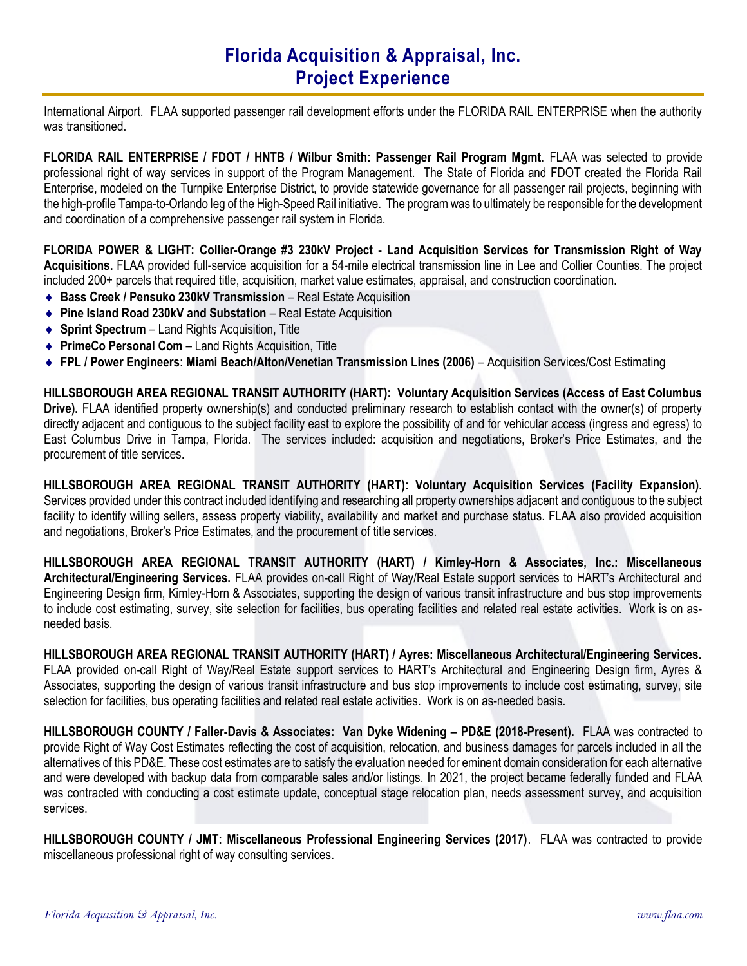International Airport. FLAA supported passenger rail development efforts under the FLORIDA RAIL ENTERPRISE when the authority was transitioned.

FLORIDA RAIL ENTERPRISE / FDOT / HNTB / Wilbur Smith: Passenger Rail Program Mgmt. FLAA was selected to provide professional right of way services in support of the Program Management. The State of Florida and FDOT created the Florida Rail Enterprise, modeled on the Turnpike Enterprise District, to provide statewide governance for all passenger rail projects, beginning with the high-profile Tampa-to-Orlando leg of the High-Speed Rail initiative. The program was to ultimately be responsible for the development and coordination of a comprehensive passenger rail system in Florida.

FLORIDA POWER & LIGHT: Collier-Orange #3 230kV Project - Land Acquisition Services for Transmission Right of Way Acquisitions. FLAA provided full-service acquisition for a 54-mile electrical transmission line in Lee and Collier Counties. The project included 200+ parcels that required title, acquisition, market value estimates, appraisal, and construction coordination.

- ◆ Bass Creek / Pensuko 230kV Transmission Real Estate Acquisition
- ◆ Pine Island Road 230kV and Substation Real Estate Acquisition
- ◆ Sprint Spectrum Land Rights Acquisition, Title
- ◆ PrimeCo Personal Com Land Rights Acquisition, Title
- ◆ FPL / Power Engineers: Miami Beach/Alton/Venetian Transmission Lines (2006) Acquisition Services/Cost Estimating

HILLSBOROUGH AREA REGIONAL TRANSIT AUTHORITY (HART): Voluntary Acquisition Services (Access of East Columbus Drive). FLAA identified property ownership(s) and conducted preliminary research to establish contact with the owner(s) of property directly adjacent and contiguous to the subject facility east to explore the possibility of and for vehicular access (ingress and egress) to East Columbus Drive in Tampa, Florida. The services included: acquisition and negotiations, Broker's Price Estimates, and the procurement of title services.

HILLSBOROUGH AREA REGIONAL TRANSIT AUTHORITY (HART): Voluntary Acquisition Services (Facility Expansion). Services provided under this contract included identifying and researching all property ownerships adjacent and contiguous to the subject facility to identify willing sellers, assess property viability, availability and market and purchase status. FLAA also provided acquisition and negotiations, Broker's Price Estimates, and the procurement of title services.

HILLSBOROUGH AREA REGIONAL TRANSIT AUTHORITY (HART) / Kimley-Horn & Associates, Inc.: Miscellaneous Architectural/Engineering Services. FLAA provides on-call Right of Way/Real Estate support services to HART's Architectural and Engineering Design firm, Kimley-Horn & Associates, supporting the design of various transit infrastructure and bus stop improvements to include cost estimating, survey, site selection for facilities, bus operating facilities and related real estate activities. Work is on asneeded basis.

HILLSBOROUGH AREA REGIONAL TRANSIT AUTHORITY (HART) / Ayres: Miscellaneous Architectural/Engineering Services. FLAA provided on-call Right of Way/Real Estate support services to HART's Architectural and Engineering Design firm, Ayres &

Associates, supporting the design of various transit infrastructure and bus stop improvements to include cost estimating, survey, site selection for facilities, bus operating facilities and related real estate activities. Work is on as-needed basis.

HILLSBOROUGH COUNTY / Faller-Davis & Associates: Van Dyke Widening – PD&E (2018-Present). FLAA was contracted to provide Right of Way Cost Estimates reflecting the cost of acquisition, relocation, and business damages for parcels included in all the alternatives of this PD&E. These cost estimates are to satisfy the evaluation needed for eminent domain consideration for each alternative and were developed with backup data from comparable sales and/or listings. In 2021, the project became federally funded and FLAA was contracted with conducting a cost estimate update, conceptual stage relocation plan, needs assessment survey, and acquisition services.

HILLSBOROUGH COUNTY / JMT: Miscellaneous Professional Engineering Services (2017). FLAA was contracted to provide miscellaneous professional right of way consulting services.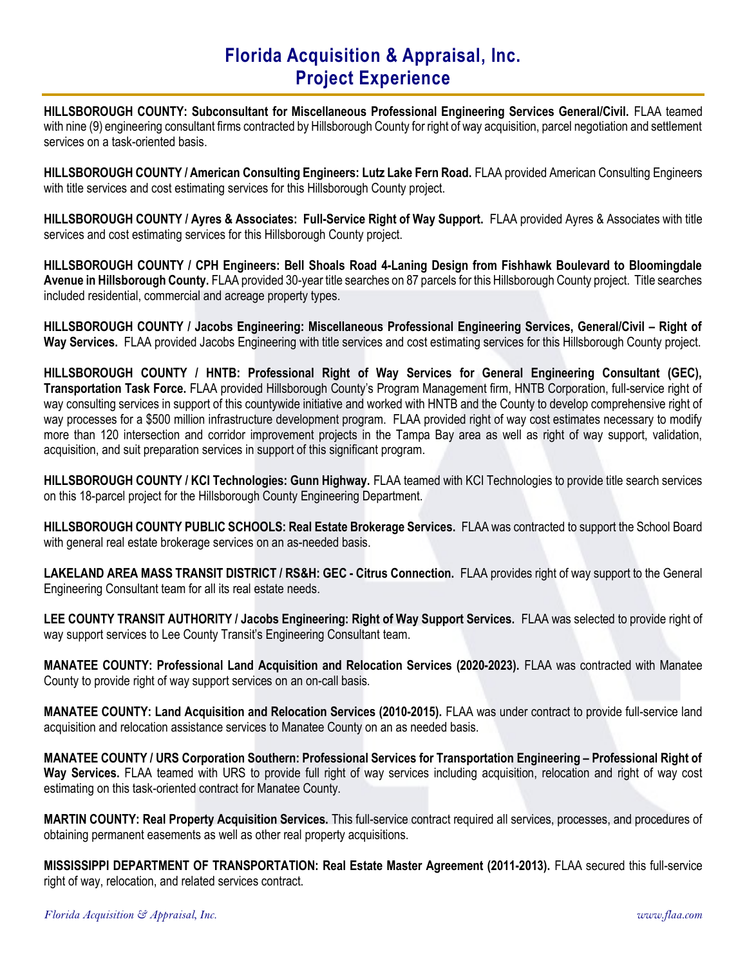HILLSBOROUGH COUNTY: Subconsultant for Miscellaneous Professional Engineering Services General/Civil. FLAA teamed with nine (9) engineering consultant firms contracted by Hillsborough County for right of way acquisition, parcel negotiation and settlement services on a task-oriented basis.

HILLSBOROUGH COUNTY / American Consulting Engineers: Lutz Lake Fern Road. FLAA provided American Consulting Engineers with title services and cost estimating services for this Hillsborough County project.

HILLSBOROUGH COUNTY / Ayres & Associates: Full-Service Right of Way Support. FLAA provided Ayres & Associates with title services and cost estimating services for this Hillsborough County project.

HILLSBOROUGH COUNTY / CPH Engineers: Bell Shoals Road 4-Laning Design from Fishhawk Boulevard to Bloomingdale Avenue in Hillsborough County. FLAA provided 30-year title searches on 87 parcels for this Hillsborough County project. Title searches included residential, commercial and acreage property types.

HILLSBOROUGH COUNTY / Jacobs Engineering: Miscellaneous Professional Engineering Services, General/Civil – Right of Way Services. FLAA provided Jacobs Engineering with title services and cost estimating services for this Hillsborough County project.

HILLSBOROUGH COUNTY / HNTB: Professional Right of Way Services for General Engineering Consultant (GEC), Transportation Task Force. FLAA provided Hillsborough County's Program Management firm, HNTB Corporation, full-service right of way consulting services in support of this countywide initiative and worked with HNTB and the County to develop comprehensive right of way processes for a \$500 million infrastructure development program. FLAA provided right of way cost estimates necessary to modify more than 120 intersection and corridor improvement projects in the Tampa Bay area as well as right of way support, validation, acquisition, and suit preparation services in support of this significant program.

HILLSBOROUGH COUNTY / KCI Technologies: Gunn Highway. FLAA teamed with KCI Technologies to provide title search services on this 18-parcel project for the Hillsborough County Engineering Department.

HILLSBOROUGH COUNTY PUBLIC SCHOOLS: Real Estate Brokerage Services. FLAA was contracted to support the School Board with general real estate brokerage services on an as-needed basis.

LAKELAND AREA MASS TRANSIT DISTRICT / RS&H: GEC - Citrus Connection. FLAA provides right of way support to the General Engineering Consultant team for all its real estate needs.

LEE COUNTY TRANSIT AUTHORITY / Jacobs Engineering: Right of Way Support Services. FLAA was selected to provide right of way support services to Lee County Transit's Engineering Consultant team.

MANATEE COUNTY: Professional Land Acquisition and Relocation Services (2020-2023). FLAA was contracted with Manatee County to provide right of way support services on an on-call basis.

MANATEE COUNTY: Land Acquisition and Relocation Services (2010-2015). FLAA was under contract to provide full-service land acquisition and relocation assistance services to Manatee County on an as needed basis.

MANATEE COUNTY / URS Corporation Southern: Professional Services for Transportation Engineering – Professional Right of Way Services. FLAA teamed with URS to provide full right of way services including acquisition, relocation and right of way cost estimating on this task-oriented contract for Manatee County.

MARTIN COUNTY: Real Property Acquisition Services. This full-service contract required all services, processes, and procedures of obtaining permanent easements as well as other real property acquisitions.

MISSISSIPPI DEPARTMENT OF TRANSPORTATION: Real Estate Master Agreement (2011-2013). FLAA secured this full-service right of way, relocation, and related services contract.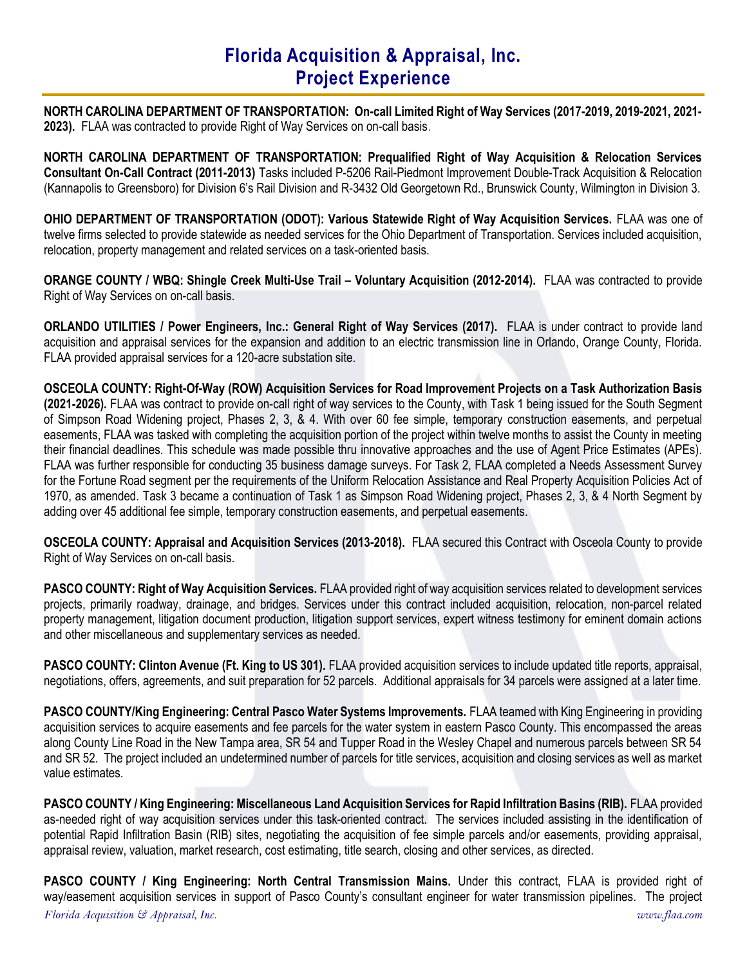NORTH CAROLINA DEPARTMENT OF TRANSPORTATION: On-call Limited Right of Way Services (2017-2019, 2019-2021, 2021- 2023). FLAA was contracted to provide Right of Way Services on on-call basis.

NORTH CAROLINA DEPARTMENT OF TRANSPORTATION: Prequalified Right of Way Acquisition & Relocation Services Consultant On-Call Contract (2011-2013) Tasks included P-5206 Rail-Piedmont Improvement Double-Track Acquisition & Relocation (Kannapolis to Greensboro) for Division 6's Rail Division and R-3432 Old Georgetown Rd., Brunswick County, Wilmington in Division 3.

OHIO DEPARTMENT OF TRANSPORTATION (ODOT): Various Statewide Right of Way Acquisition Services. FLAA was one of twelve firms selected to provide statewide as needed services for the Ohio Department of Transportation. Services included acquisition, relocation, property management and related services on a task-oriented basis.

ORANGE COUNTY / WBQ: Shingle Creek Multi-Use Trail – Voluntary Acquisition (2012-2014). FLAA was contracted to provide Right of Way Services on on-call basis.

ORLANDO UTILITIES / Power Engineers, Inc.: General Right of Way Services (2017). FLAA is under contract to provide land acquisition and appraisal services for the expansion and addition to an electric transmission line in Orlando, Orange County, Florida. FLAA provided appraisal services for a 120-acre substation site.

OSCEOLA COUNTY: Right-Of-Way (ROW) Acquisition Services for Road Improvement Projects on a Task Authorization Basis (2021-2026). FLAA was contract to provide on-call right of way services to the County, with Task 1 being issued for the South Segment of Simpson Road Widening project, Phases 2, 3, & 4. With over 60 fee simple, temporary construction easements, and perpetual easements, FLAA was tasked with completing the acquisition portion of the project within twelve months to assist the County in meeting their financial deadlines. This schedule was made possible thru innovative approaches and the use of Agent Price Estimates (APEs). FLAA was further responsible for conducting 35 business damage surveys. For Task 2, FLAA completed a Needs Assessment Survey for the Fortune Road segment per the requirements of the Uniform Relocation Assistance and Real Property Acquisition Policies Act of 1970, as amended. Task 3 became a continuation of Task 1 as Simpson Road Widening project, Phases 2, 3, & 4 North Segment by adding over 45 additional fee simple, temporary construction easements, and perpetual easements.

OSCEOLA COUNTY: Appraisal and Acquisition Services (2013-2018). FLAA secured this Contract with Osceola County to provide Right of Way Services on on-call basis.

PASCO COUNTY: Right of Way Acquisition Services. FLAA provided right of way acquisition services related to development services projects, primarily roadway, drainage, and bridges. Services under this contract included acquisition, relocation, non-parcel related property management, litigation document production, litigation support services, expert witness testimony for eminent domain actions and other miscellaneous and supplementary services as needed.

PASCO COUNTY: Clinton Avenue (Ft. King to US 301). FLAA provided acquisition services to include updated title reports, appraisal, negotiations, offers, agreements, and suit preparation for 52 parcels. Additional appraisals for 34 parcels were assigned at a later time.

PASCO COUNTY/King Engineering: Central Pasco Water Systems Improvements. FLAA teamed with King Engineering in providing acquisition services to acquire easements and fee parcels for the water system in eastern Pasco County. This encompassed the areas along County Line Road in the New Tampa area, SR 54 and Tupper Road in the Wesley Chapel and numerous parcels between SR 54 and SR 52. The project included an undetermined number of parcels for title services, acquisition and closing services as well as market value estimates.

PASCO COUNTY / King Engineering: Miscellaneous Land Acquisition Services for Rapid Infiltration Basins (RIB). FLAA provided as-needed right of way acquisition services under this task-oriented contract. The services included assisting in the identification of potential Rapid Infiltration Basin (RIB) sites, negotiating the acquisition of fee simple parcels and/or easements, providing appraisal, appraisal review, valuation, market research, cost estimating, title search, closing and other services, as directed.

Florida Acquisition  $\mathfrak{S}$  Appraisal, Inc. www.flaa.com PASCO COUNTY / King Engineering: North Central Transmission Mains. Under this contract, FLAA is provided right of way/easement acquisition services in support of Pasco County's consultant engineer for water transmission pipelines. The project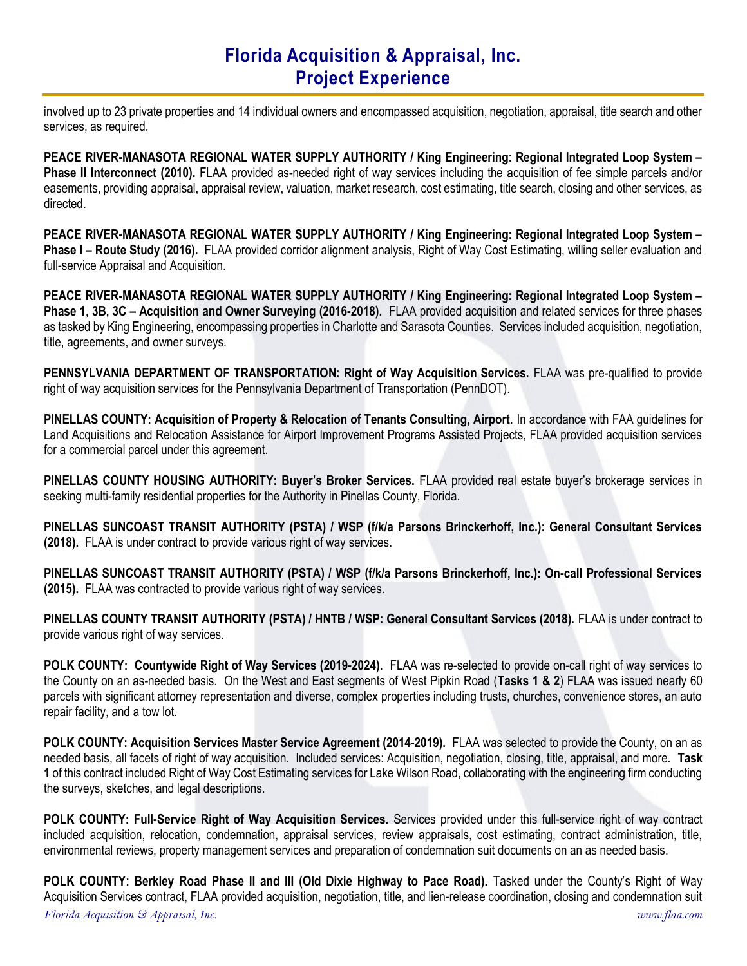involved up to 23 private properties and 14 individual owners and encompassed acquisition, negotiation, appraisal, title search and other services, as required.

PEACE RIVER-MANASOTA REGIONAL WATER SUPPLY AUTHORITY / King Engineering: Regional Integrated Loop System – Phase II Interconnect (2010). FLAA provided as-needed right of way services including the acquisition of fee simple parcels and/or easements, providing appraisal, appraisal review, valuation, market research, cost estimating, title search, closing and other services, as directed.

PEACE RIVER-MANASOTA REGIONAL WATER SUPPLY AUTHORITY / King Engineering: Regional Integrated Loop System – Phase I – Route Study (2016). FLAA provided corridor alignment analysis, Right of Way Cost Estimating, willing seller evaluation and full-service Appraisal and Acquisition.

PEACE RIVER-MANASOTA REGIONAL WATER SUPPLY AUTHORITY / King Engineering: Regional Integrated Loop System – Phase 1, 3B, 3C – Acquisition and Owner Surveying (2016-2018). FLAA provided acquisition and related services for three phases as tasked by King Engineering, encompassing properties in Charlotte and Sarasota Counties. Services included acquisition, negotiation, title, agreements, and owner surveys.

PENNSYLVANIA DEPARTMENT OF TRANSPORTATION: Right of Way Acquisition Services. FLAA was pre-qualified to provide right of way acquisition services for the Pennsylvania Department of Transportation (PennDOT).

PINELLAS COUNTY: Acquisition of Property & Relocation of Tenants Consulting, Airport. In accordance with FAA guidelines for Land Acquisitions and Relocation Assistance for Airport Improvement Programs Assisted Projects, FLAA provided acquisition services for a commercial parcel under this agreement.

PINELLAS COUNTY HOUSING AUTHORITY: Buyer's Broker Services. FLAA provided real estate buyer's brokerage services in seeking multi-family residential properties for the Authority in Pinellas County, Florida.

PINELLAS SUNCOAST TRANSIT AUTHORITY (PSTA) / WSP (f/k/a Parsons Brinckerhoff, Inc.): General Consultant Services (2018). FLAA is under contract to provide various right of way services.

PINELLAS SUNCOAST TRANSIT AUTHORITY (PSTA) / WSP (f/k/a Parsons Brinckerhoff, Inc.): On-call Professional Services (2015). FLAA was contracted to provide various right of way services.

PINELLAS COUNTY TRANSIT AUTHORITY (PSTA) / HNTB / WSP: General Consultant Services (2018). FLAA is under contract to provide various right of way services.

POLK COUNTY: Countywide Right of Way Services (2019-2024). FLAA was re-selected to provide on-call right of way services to the County on an as-needed basis. On the West and East segments of West Pipkin Road (Tasks 1 & 2) FLAA was issued nearly 60 parcels with significant attorney representation and diverse, complex properties including trusts, churches, convenience stores, an auto repair facility, and a tow lot.

POLK COUNTY: Acquisition Services Master Service Agreement (2014-2019). FLAA was selected to provide the County, on an as needed basis, all facets of right of way acquisition. Included services: Acquisition, negotiation, closing, title, appraisal, and more. Task 1 of this contract included Right of Way Cost Estimating services for Lake Wilson Road, collaborating with the engineering firm conducting the surveys, sketches, and legal descriptions.

POLK COUNTY: Full-Service Right of Way Acquisition Services. Services provided under this full-service right of way contract included acquisition, relocation, condemnation, appraisal services, review appraisals, cost estimating, contract administration, title, environmental reviews, property management services and preparation of condemnation suit documents on an as needed basis.

Florida Acquisition  $\mathfrak{S}$  Appraisal, Inc. www.flaa.com POLK COUNTY: Berkley Road Phase II and III (Old Dixie Highway to Pace Road). Tasked under the County's Right of Way Acquisition Services contract, FLAA provided acquisition, negotiation, title, and lien-release coordination, closing and condemnation suit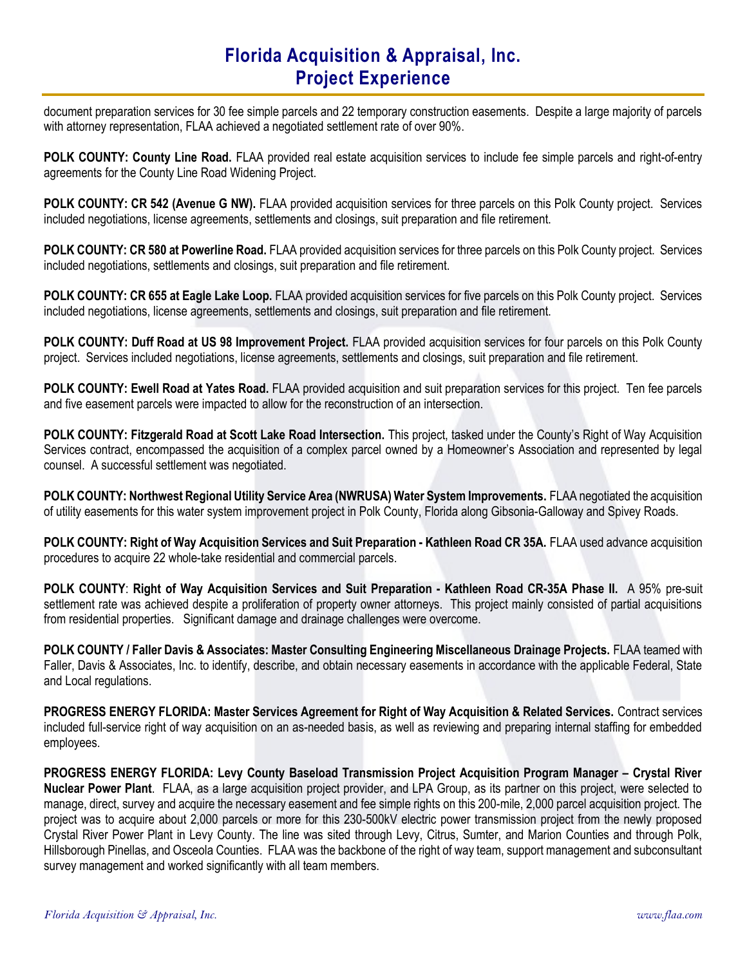document preparation services for 30 fee simple parcels and 22 temporary construction easements. Despite a large majority of parcels with attorney representation, FLAA achieved a negotiated settlement rate of over 90%.

POLK COUNTY: County Line Road. FLAA provided real estate acquisition services to include fee simple parcels and right-of-entry agreements for the County Line Road Widening Project.

POLK COUNTY: CR 542 (Avenue G NW). FLAA provided acquisition services for three parcels on this Polk County project. Services included negotiations, license agreements, settlements and closings, suit preparation and file retirement.

POLK COUNTY: CR 580 at Powerline Road. FLAA provided acquisition services for three parcels on this Polk County project. Services included negotiations, settlements and closings, suit preparation and file retirement.

POLK COUNTY: CR 655 at Eagle Lake Loop. FLAA provided acquisition services for five parcels on this Polk County project. Services included negotiations, license agreements, settlements and closings, suit preparation and file retirement.

POLK COUNTY: Duff Road at US 98 Improvement Project. FLAA provided acquisition services for four parcels on this Polk County project. Services included negotiations, license agreements, settlements and closings, suit preparation and file retirement.

POLK COUNTY: Ewell Road at Yates Road. FLAA provided acquisition and suit preparation services for this project. Ten fee parcels and five easement parcels were impacted to allow for the reconstruction of an intersection.

POLK COUNTY: Fitzgerald Road at Scott Lake Road Intersection. This project, tasked under the County's Right of Way Acquisition Services contract, encompassed the acquisition of a complex parcel owned by a Homeowner's Association and represented by legal counsel. A successful settlement was negotiated.

POLK COUNTY: Northwest Regional Utility Service Area (NWRUSA) Water System Improvements. FLAA negotiated the acquisition of utility easements for this water system improvement project in Polk County, Florida along Gibsonia-Galloway and Spivey Roads.

POLK COUNTY: Right of Way Acquisition Services and Suit Preparation - Kathleen Road CR 35A. FLAA used advance acquisition procedures to acquire 22 whole-take residential and commercial parcels.

POLK COUNTY: Right of Way Acquisition Services and Suit Preparation - Kathleen Road CR-35A Phase II. A 95% pre-suit settlement rate was achieved despite a proliferation of property owner attorneys. This project mainly consisted of partial acquisitions from residential properties. Significant damage and drainage challenges were overcome.

POLK COUNTY / Faller Davis & Associates: Master Consulting Engineering Miscellaneous Drainage Projects. FLAA teamed with Faller, Davis & Associates, Inc. to identify, describe, and obtain necessary easements in accordance with the applicable Federal, State and Local regulations.

PROGRESS ENERGY FLORIDA: Master Services Agreement for Right of Way Acquisition & Related Services. Contract services included full-service right of way acquisition on an as-needed basis, as well as reviewing and preparing internal staffing for embedded employees.

PROGRESS ENERGY FLORIDA: Levy County Baseload Transmission Project Acquisition Program Manager – Crystal River Nuclear Power Plant. FLAA, as a large acquisition project provider, and LPA Group, as its partner on this project, were selected to manage, direct, survey and acquire the necessary easement and fee simple rights on this 200-mile, 2,000 parcel acquisition project. The project was to acquire about 2,000 parcels or more for this 230-500kV electric power transmission project from the newly proposed Crystal River Power Plant in Levy County. The line was sited through Levy, Citrus, Sumter, and Marion Counties and through Polk, Hillsborough Pinellas, and Osceola Counties. FLAA was the backbone of the right of way team, support management and subconsultant survey management and worked significantly with all team members.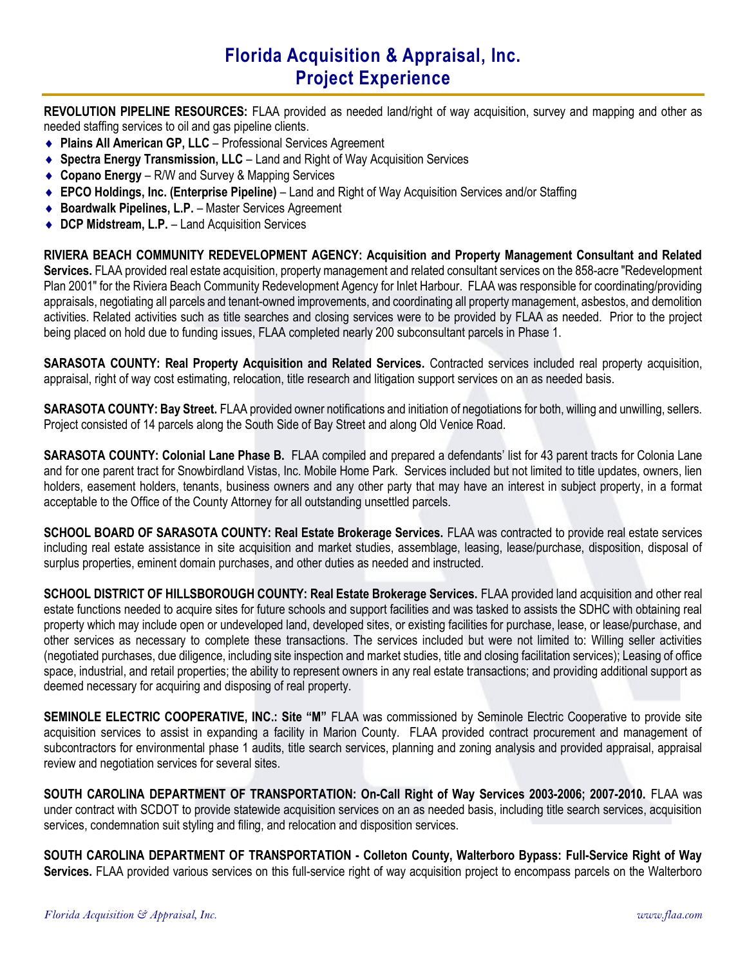REVOLUTION PIPELINE RESOURCES: FLAA provided as needed land/right of way acquisition, survey and mapping and other as needed staffing services to oil and gas pipeline clients.

- ◆ Plains All American GP, LLC Professional Services Agreement
- ◆ Spectra Energy Transmission, LLC Land and Right of Way Acquisition Services
- ◆ Copano Energy R/W and Survey & Mapping Services
- ◆ EPCO Holdings, Inc. (Enterprise Pipeline) Land and Right of Way Acquisition Services and/or Staffing
- ◆ Boardwalk Pipelines, L.P. Master Services Agreement
- ◆ DCP Midstream, L.P. Land Acquisition Services

RIVIERA BEACH COMMUNITY REDEVELOPMENT AGENCY: Acquisition and Property Management Consultant and Related Services. FLAA provided real estate acquisition, property management and related consultant services on the 858-acre "Redevelopment" Plan 2001" for the Riviera Beach Community Redevelopment Agency for Inlet Harbour. FLAA was responsible for coordinating/providing appraisals, negotiating all parcels and tenant-owned improvements, and coordinating all property management, asbestos, and demolition activities. Related activities such as title searches and closing services were to be provided by FLAA as needed. Prior to the project being placed on hold due to funding issues, FLAA completed nearly 200 subconsultant parcels in Phase 1.

SARASOTA COUNTY: Real Property Acquisition and Related Services. Contracted services included real property acquisition, appraisal, right of way cost estimating, relocation, title research and litigation support services on an as needed basis.

SARASOTA COUNTY: Bay Street. FLAA provided owner notifications and initiation of negotiations for both, willing and unwilling, sellers. Project consisted of 14 parcels along the South Side of Bay Street and along Old Venice Road.

SARASOTA COUNTY: Colonial Lane Phase B. FLAA compiled and prepared a defendants' list for 43 parent tracts for Colonia Lane and for one parent tract for Snowbirdland Vistas, Inc. Mobile Home Park. Services included but not limited to title updates, owners, lien holders, easement holders, tenants, business owners and any other party that may have an interest in subject property, in a format acceptable to the Office of the County Attorney for all outstanding unsettled parcels.

SCHOOL BOARD OF SARASOTA COUNTY: Real Estate Brokerage Services. FLAA was contracted to provide real estate services including real estate assistance in site acquisition and market studies, assemblage, leasing, lease/purchase, disposition, disposal of surplus properties, eminent domain purchases, and other duties as needed and instructed.

SCHOOL DISTRICT OF HILLSBOROUGH COUNTY: Real Estate Brokerage Services. FLAA provided land acquisition and other real estate functions needed to acquire sites for future schools and support facilities and was tasked to assists the SDHC with obtaining real property which may include open or undeveloped land, developed sites, or existing facilities for purchase, lease, or lease/purchase, and other services as necessary to complete these transactions. The services included but were not limited to: Willing seller activities (negotiated purchases, due diligence, including site inspection and market studies, title and closing facilitation services); Leasing of office space, industrial, and retail properties; the ability to represent owners in any real estate transactions; and providing additional support as deemed necessary for acquiring and disposing of real property.

SEMINOLE ELECTRIC COOPERATIVE, INC.: Site "M" FLAA was commissioned by Seminole Electric Cooperative to provide site acquisition services to assist in expanding a facility in Marion County. FLAA provided contract procurement and management of subcontractors for environmental phase 1 audits, title search services, planning and zoning analysis and provided appraisal, appraisal review and negotiation services for several sites.

SOUTH CAROLINA DEPARTMENT OF TRANSPORTATION: On-Call Right of Way Services 2003-2006; 2007-2010. FLAA was under contract with SCDOT to provide statewide acquisition services on an as needed basis, including title search services, acquisition services, condemnation suit styling and filing, and relocation and disposition services.

SOUTH CAROLINA DEPARTMENT OF TRANSPORTATION - Colleton County, Walterboro Bypass: Full-Service Right of Way Services. FLAA provided various services on this full-service right of way acquisition project to encompass parcels on the Walterboro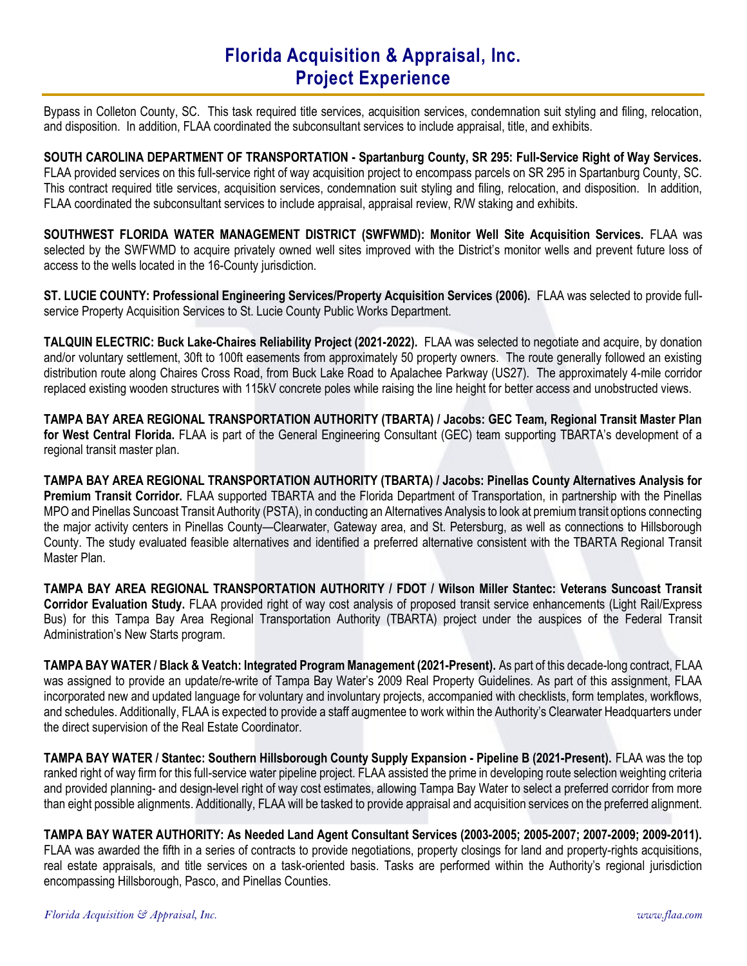Bypass in Colleton County, SC. This task required title services, acquisition services, condemnation suit styling and filing, relocation, and disposition. In addition, FLAA coordinated the subconsultant services to include appraisal, title, and exhibits.

SOUTH CAROLINA DEPARTMENT OF TRANSPORTATION - Spartanburg County, SR 295: Full-Service Right of Way Services. FLAA provided services on this full-service right of way acquisition project to encompass parcels on SR 295 in Spartanburg County, SC. This contract required title services, acquisition services, condemnation suit styling and filing, relocation, and disposition. In addition, FLAA coordinated the subconsultant services to include appraisal, appraisal review, R/W staking and exhibits.

SOUTHWEST FLORIDA WATER MANAGEMENT DISTRICT (SWFWMD): Monitor Well Site Acquisition Services. FLAA was selected by the SWFWMD to acquire privately owned well sites improved with the District's monitor wells and prevent future loss of access to the wells located in the 16-County jurisdiction.

ST. LUCIE COUNTY: Professional Engineering Services/Property Acquisition Services (2006). FLAA was selected to provide fullservice Property Acquisition Services to St. Lucie County Public Works Department.

TALQUIN ELECTRIC: Buck Lake-Chaires Reliability Project (2021-2022). FLAA was selected to negotiate and acquire, by donation and/or voluntary settlement, 30ft to 100ft easements from approximately 50 property owners. The route generally followed an existing distribution route along Chaires Cross Road, from Buck Lake Road to Apalachee Parkway (US27). The approximately 4-mile corridor replaced existing wooden structures with 115kV concrete poles while raising the line height for better access and unobstructed views.

TAMPA BAY AREA REGIONAL TRANSPORTATION AUTHORITY (TBARTA) / Jacobs: GEC Team, Regional Transit Master Plan for West Central Florida. FLAA is part of the General Engineering Consultant (GEC) team supporting TBARTA's development of a regional transit master plan.

TAMPA BAY AREA REGIONAL TRANSPORTATION AUTHORITY (TBARTA) / Jacobs: Pinellas County Alternatives Analysis for Premium Transit Corridor. FLAA supported TBARTA and the Florida Department of Transportation, in partnership with the Pinellas MPO and Pinellas Suncoast Transit Authority (PSTA), in conducting an Alternatives Analysis to look at premium transit options connecting the major activity centers in Pinellas County—Clearwater, Gateway area, and St. Petersburg, as well as connections to Hillsborough County. The study evaluated feasible alternatives and identified a preferred alternative consistent with the TBARTA Regional Transit Master Plan.

TAMPA BAY AREA REGIONAL TRANSPORTATION AUTHORITY / FDOT / Wilson Miller Stantec: Veterans Suncoast Transit Corridor Evaluation Study. FLAA provided right of way cost analysis of proposed transit service enhancements (Light Rail/Express Bus) for this Tampa Bay Area Regional Transportation Authority (TBARTA) project under the auspices of the Federal Transit Administration's New Starts program.

TAMPA BAY WATER / Black & Veatch: Integrated Program Management (2021-Present). As part of this decade-long contract, FLAA was assigned to provide an update/re-write of Tampa Bay Water's 2009 Real Property Guidelines. As part of this assignment, FLAA incorporated new and updated language for voluntary and involuntary projects, accompanied with checklists, form templates, workflows, and schedules. Additionally, FLAA is expected to provide a staff augmentee to work within the Authority's Clearwater Headquarters under the direct supervision of the Real Estate Coordinator.

TAMPA BAY WATER / Stantec: Southern Hillsborough County Supply Expansion - Pipeline B (2021-Present). FLAA was the top ranked right of way firm for this full-service water pipeline project. FLAA assisted the prime in developing route selection weighting criteria and provided planning- and design-level right of way cost estimates, allowing Tampa Bay Water to select a preferred corridor from more than eight possible alignments. Additionally, FLAA will be tasked to provide appraisal and acquisition services on the preferred alignment.

TAMPA BAY WATER AUTHORITY: As Needed Land Agent Consultant Services (2003-2005; 2005-2007; 2007-2009; 2009-2011). FLAA was awarded the fifth in a series of contracts to provide negotiations, property closings for land and property-rights acquisitions, real estate appraisals, and title services on a task-oriented basis. Tasks are performed within the Authority's regional jurisdiction encompassing Hillsborough, Pasco, and Pinellas Counties.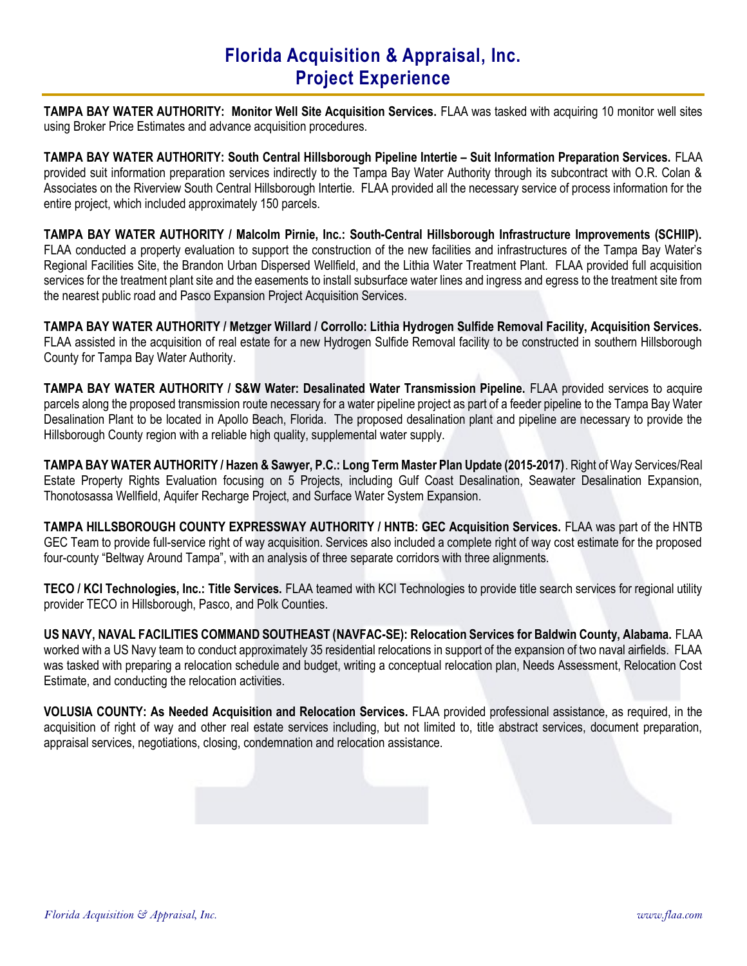TAMPA BAY WATER AUTHORITY: Monitor Well Site Acquisition Services. FLAA was tasked with acquiring 10 monitor well sites using Broker Price Estimates and advance acquisition procedures.

TAMPA BAY WATER AUTHORITY: South Central Hillsborough Pipeline Intertie – Suit Information Preparation Services. FLAA provided suit information preparation services indirectly to the Tampa Bay Water Authority through its subcontract with O.R. Colan & Associates on the Riverview South Central Hillsborough Intertie. FLAA provided all the necessary service of process information for the entire project, which included approximately 150 parcels.

TAMPA BAY WATER AUTHORITY / Malcolm Pirnie, Inc.: South-Central Hillsborough Infrastructure Improvements (SCHIIP). FLAA conducted a property evaluation to support the construction of the new facilities and infrastructures of the Tampa Bay Water's Regional Facilities Site, the Brandon Urban Dispersed Wellfield, and the Lithia Water Treatment Plant. FLAA provided full acquisition services for the treatment plant site and the easements to install subsurface water lines and ingress and egress to the treatment site from the nearest public road and Pasco Expansion Project Acquisition Services.

TAMPA BAY WATER AUTHORITY / Metzger Willard / Corrollo: Lithia Hydrogen Sulfide Removal Facility, Acquisition Services. FLAA assisted in the acquisition of real estate for a new Hydrogen Sulfide Removal facility to be constructed in southern Hillsborough County for Tampa Bay Water Authority.

TAMPA BAY WATER AUTHORITY / S&W Water: Desalinated Water Transmission Pipeline. FLAA provided services to acquire parcels along the proposed transmission route necessary for a water pipeline project as part of a feeder pipeline to the Tampa Bay Water Desalination Plant to be located in Apollo Beach, Florida. The proposed desalination plant and pipeline are necessary to provide the Hillsborough County region with a reliable high quality, supplemental water supply.

TAMPA BAY WATER AUTHORITY / Hazen & Sawyer, P.C.: Long Term Master Plan Update (2015-2017). Right of Way Services/Real Estate Property Rights Evaluation focusing on 5 Projects, including Gulf Coast Desalination, Seawater Desalination Expansion, Thonotosassa Wellfield, Aquifer Recharge Project, and Surface Water System Expansion.

TAMPA HILLSBOROUGH COUNTY EXPRESSWAY AUTHORITY / HNTB: GEC Acquisition Services. FLAA was part of the HNTB GEC Team to provide full-service right of way acquisition. Services also included a complete right of way cost estimate for the proposed four-county "Beltway Around Tampa", with an analysis of three separate corridors with three alignments.

TECO / KCI Technologies, Inc.: Title Services. FLAA teamed with KCI Technologies to provide title search services for regional utility provider TECO in Hillsborough, Pasco, and Polk Counties.

US NAVY, NAVAL FACILITIES COMMAND SOUTHEAST (NAVFAC-SE): Relocation Services for Baldwin County, Alabama. FLAA worked with a US Navy team to conduct approximately 35 residential relocations in support of the expansion of two naval airfields. FLAA was tasked with preparing a relocation schedule and budget, writing a conceptual relocation plan, Needs Assessment, Relocation Cost Estimate, and conducting the relocation activities.

VOLUSIA COUNTY: As Needed Acquisition and Relocation Services. FLAA provided professional assistance, as required, in the acquisition of right of way and other real estate services including, but not limited to, title abstract services, document preparation, appraisal services, negotiations, closing, condemnation and relocation assistance.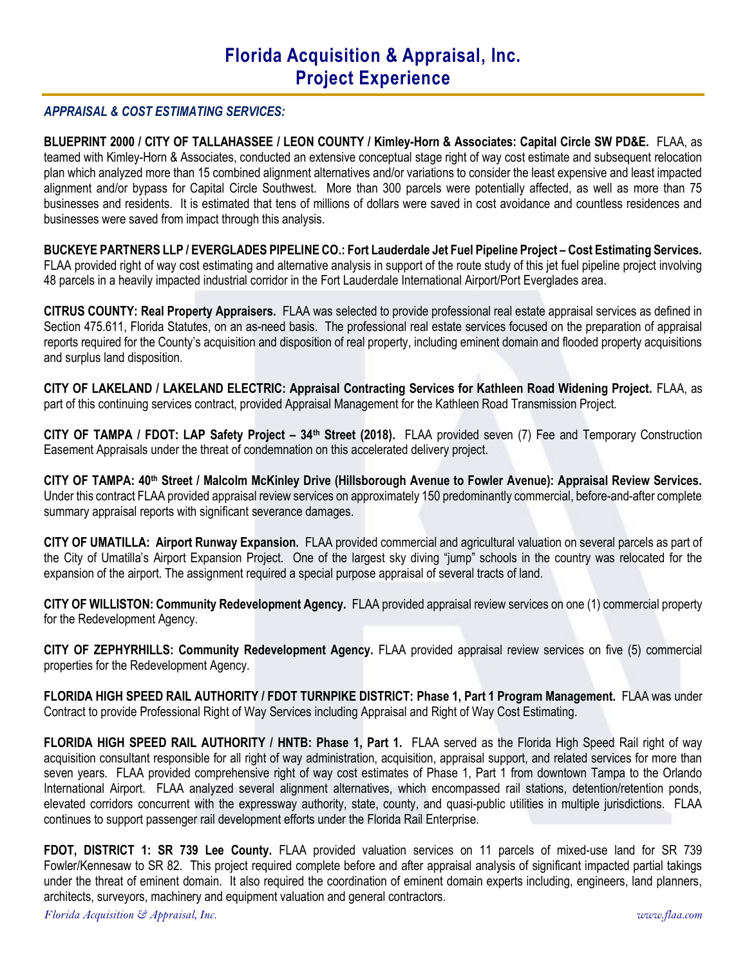### APPRAISAL & COST ESTIMATING SERVICES:

BLUEPRINT 2000 / CITY OF TALLAHASSEE / LEON COUNTY / Kimley-Horn & Associates: Capital Circle SW PD&E. FLAA, as teamed with Kimley-Horn & Associates, conducted an extensive conceptual stage right of way cost estimate and subsequent relocation plan which analyzed more than 15 combined alignment alternatives and/or variations to consider the least expensive and least impacted alignment and/or bypass for Capital Circle Southwest. More than 300 parcels were potentially affected, as well as more than 75 businesses and residents. It is estimated that tens of millions of dollars were saved in cost avoidance and countless residences and businesses were saved from impact through this analysis.

BUCKEYE PARTNERS LLP / EVERGLADES PIPELINE CO.: Fort Lauderdale Jet Fuel Pipeline Project – Cost Estimating Services. FLAA provided right of way cost estimating and alternative analysis in support of the route study of this jet fuel pipeline project involving 48 parcels in a heavily impacted industrial corridor in the Fort Lauderdale International Airport/Port Everglades area.

CITRUS COUNTY: Real Property Appraisers. FLAA was selected to provide professional real estate appraisal services as defined in Section 475.611, Florida Statutes, on an as-need basis. The professional real estate services focused on the preparation of appraisal reports required for the County's acquisition and disposition of real property, including eminent domain and flooded property acquisitions and surplus land disposition.

CITY OF LAKELAND / LAKELAND ELECTRIC: Appraisal Contracting Services for Kathleen Road Widening Project. FLAA, as part of this continuing services contract, provided Appraisal Management for the Kathleen Road Transmission Project.

CITY OF TAMPA / FDOT: LAP Safety Project – 34th Street (2018). FLAA provided seven (7) Fee and Temporary Construction Easement Appraisals under the threat of condemnation on this accelerated delivery project.

CITY OF TAMPA: 40th Street / Malcolm McKinley Drive (Hillsborough Avenue to Fowler Avenue): Appraisal Review Services. Under this contract FLAA provided appraisal review services on approximately 150 predominantly commercial, before-and-after complete summary appraisal reports with significant severance damages.

CITY OF UMATILLA: Airport Runway Expansion. FLAA provided commercial and agricultural valuation on several parcels as part of the City of Umatilla's Airport Expansion Project. One of the largest sky diving "jump" schools in the country was relocated for the expansion of the airport. The assignment required a special purpose appraisal of several tracts of land.

CITY OF WILLISTON: Community Redevelopment Agency. FLAA provided appraisal review services on one (1) commercial property for the Redevelopment Agency.

CITY OF ZEPHYRHILLS: Community Redevelopment Agency. FLAA provided appraisal review services on five (5) commercial properties for the Redevelopment Agency.

FLORIDA HIGH SPEED RAIL AUTHORITY / FDOT TURNPIKE DISTRICT: Phase 1, Part 1 Program Management. FLAA was under Contract to provide Professional Right of Way Services including Appraisal and Right of Way Cost Estimating.

FLORIDA HIGH SPEED RAIL AUTHORITY / HNTB: Phase 1, Part 1. FLAA served as the Florida High Speed Rail right of way acquisition consultant responsible for all right of way administration, acquisition, appraisal support, and related services for more than seven years. FLAA provided comprehensive right of way cost estimates of Phase 1, Part 1 from downtown Tampa to the Orlando International Airport. FLAA analyzed several alignment alternatives, which encompassed rail stations, detention/retention ponds, elevated corridors concurrent with the expressway authority, state, county, and quasi-public utilities in multiple jurisdictions. FLAA continues to support passenger rail development efforts under the Florida Rail Enterprise.

FDOT, DISTRICT 1: SR 739 Lee County. FLAA provided valuation services on 11 parcels of mixed-use land for SR 739 Fowler/Kennesaw to SR 82. This project required complete before and after appraisal analysis of significant impacted partial takings under the threat of eminent domain. It also required the coordination of eminent domain experts including, engineers, land planners, architects, surveyors, machinery and equipment valuation and general contractors.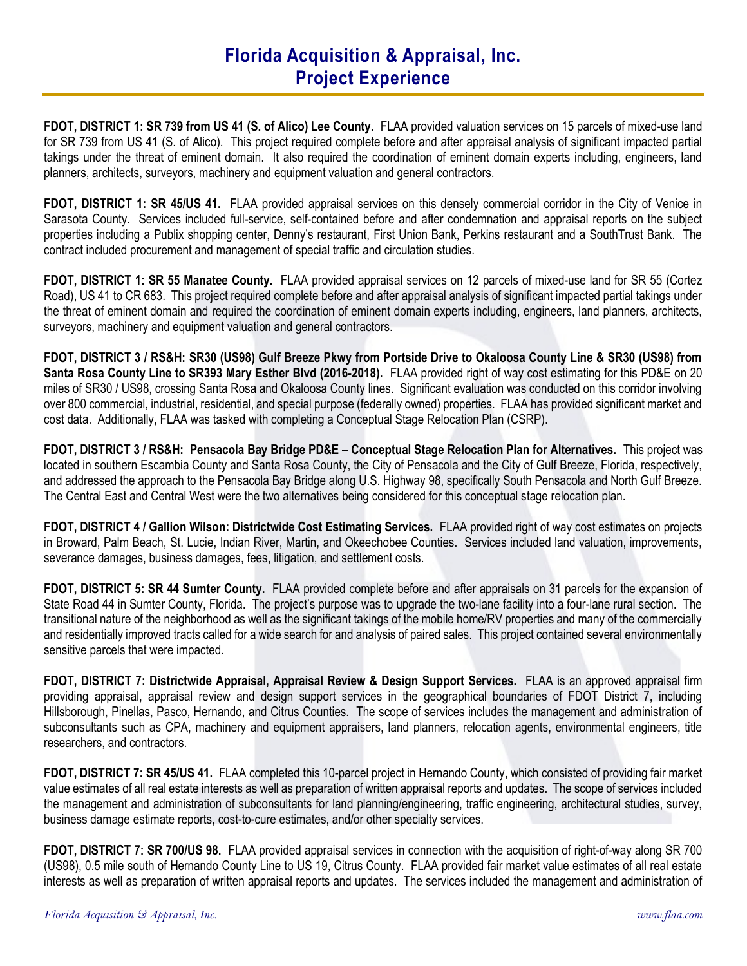FDOT, DISTRICT 1: SR 739 from US 41 (S. of Alico) Lee County. FLAA provided valuation services on 15 parcels of mixed-use land for SR 739 from US 41 (S. of Alico). This project required complete before and after appraisal analysis of significant impacted partial takings under the threat of eminent domain. It also required the coordination of eminent domain experts including, engineers, land planners, architects, surveyors, machinery and equipment valuation and general contractors.

FDOT, DISTRICT 1: SR 45/US 41. FLAA provided appraisal services on this densely commercial corridor in the City of Venice in Sarasota County. Services included full-service, self-contained before and after condemnation and appraisal reports on the subject properties including a Publix shopping center, Denny's restaurant, First Union Bank, Perkins restaurant and a SouthTrust Bank. The contract included procurement and management of special traffic and circulation studies.

FDOT, DISTRICT 1: SR 55 Manatee County. FLAA provided appraisal services on 12 parcels of mixed-use land for SR 55 (Cortez Road), US 41 to CR 683. This project required complete before and after appraisal analysis of significant impacted partial takings under the threat of eminent domain and required the coordination of eminent domain experts including, engineers, land planners, architects, surveyors, machinery and equipment valuation and general contractors.

FDOT, DISTRICT 3 / RS&H: SR30 (US98) Gulf Breeze Pkwy from Portside Drive to Okaloosa County Line & SR30 (US98) from Santa Rosa County Line to SR393 Mary Esther Blvd (2016-2018). FLAA provided right of way cost estimating for this PD&E on 20 miles of SR30 / US98, crossing Santa Rosa and Okaloosa County lines. Significant evaluation was conducted on this corridor involving over 800 commercial, industrial, residential, and special purpose (federally owned) properties. FLAA has provided significant market and cost data. Additionally, FLAA was tasked with completing a Conceptual Stage Relocation Plan (CSRP).

FDOT, DISTRICT 3 / RS&H: Pensacola Bay Bridge PD&E – Conceptual Stage Relocation Plan for Alternatives. This project was located in southern Escambia County and Santa Rosa County, the City of Pensacola and the City of Gulf Breeze, Florida, respectively, and addressed the approach to the Pensacola Bay Bridge along U.S. Highway 98, specifically South Pensacola and North Gulf Breeze. The Central East and Central West were the two alternatives being considered for this conceptual stage relocation plan.

FDOT, DISTRICT 4 / Gallion Wilson: Districtwide Cost Estimating Services. FLAA provided right of way cost estimates on projects in Broward, Palm Beach, St. Lucie, Indian River, Martin, and Okeechobee Counties. Services included land valuation, improvements, severance damages, business damages, fees, litigation, and settlement costs.

FDOT, DISTRICT 5: SR 44 Sumter County. FLAA provided complete before and after appraisals on 31 parcels for the expansion of State Road 44 in Sumter County, Florida. The project's purpose was to upgrade the two-lane facility into a four-lane rural section. The transitional nature of the neighborhood as well as the significant takings of the mobile home/RV properties and many of the commercially and residentially improved tracts called for a wide search for and analysis of paired sales. This project contained several environmentally sensitive parcels that were impacted.

FDOT, DISTRICT 7: Districtwide Appraisal, Appraisal Review & Design Support Services. FLAA is an approved appraisal firm providing appraisal, appraisal review and design support services in the geographical boundaries of FDOT District 7, including Hillsborough, Pinellas, Pasco, Hernando, and Citrus Counties. The scope of services includes the management and administration of subconsultants such as CPA, machinery and equipment appraisers, land planners, relocation agents, environmental engineers, title researchers, and contractors.

FDOT, DISTRICT 7: SR 45/US 41. FLAA completed this 10-parcel project in Hernando County, which consisted of providing fair market value estimates of all real estate interests as well as preparation of written appraisal reports and updates. The scope of services included the management and administration of subconsultants for land planning/engineering, traffic engineering, architectural studies, survey, business damage estimate reports, cost-to-cure estimates, and/or other specialty services.

FDOT, DISTRICT 7: SR 700/US 98. FLAA provided appraisal services in connection with the acquisition of right-of-way along SR 700 (US98), 0.5 mile south of Hernando County Line to US 19, Citrus County. FLAA provided fair market value estimates of all real estate interests as well as preparation of written appraisal reports and updates. The services included the management and administration of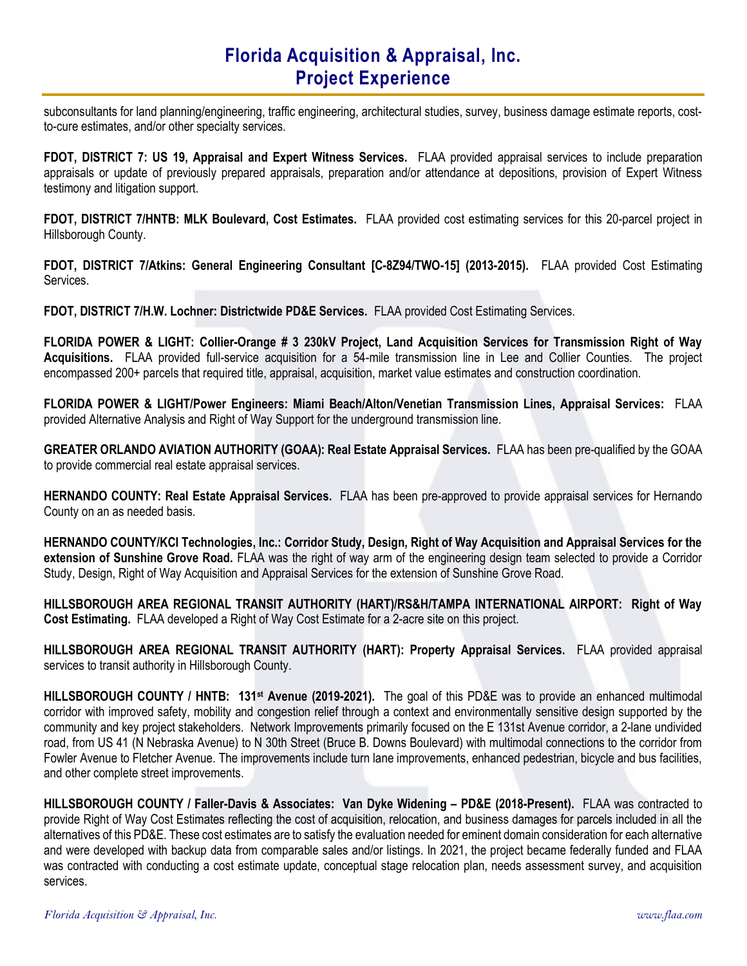subconsultants for land planning/engineering, traffic engineering, architectural studies, survey, business damage estimate reports, costto-cure estimates, and/or other specialty services.

FDOT, DISTRICT 7: US 19, Appraisal and Expert Witness Services. FLAA provided appraisal services to include preparation appraisals or update of previously prepared appraisals, preparation and/or attendance at depositions, provision of Expert Witness testimony and litigation support.

FDOT, DISTRICT 7/HNTB: MLK Boulevard, Cost Estimates. FLAA provided cost estimating services for this 20-parcel project in Hillsborough County.

FDOT, DISTRICT 7/Atkins: General Engineering Consultant [C-8Z94/TWO-15] (2013-2015). FLAA provided Cost Estimating Services.

FDOT, DISTRICT 7/H.W. Lochner: Districtwide PD&E Services. FLAA provided Cost Estimating Services.

FLORIDA POWER & LIGHT: Collier-Orange # 3 230kV Project, Land Acquisition Services for Transmission Right of Way Acquisitions. FLAA provided full-service acquisition for a 54-mile transmission line in Lee and Collier Counties. The project encompassed 200+ parcels that required title, appraisal, acquisition, market value estimates and construction coordination.

FLORIDA POWER & LIGHT/Power Engineers: Miami Beach/Alton/Venetian Transmission Lines, Appraisal Services: FLAA provided Alternative Analysis and Right of Way Support for the underground transmission line.

GREATER ORLANDO AVIATION AUTHORITY (GOAA): Real Estate Appraisal Services. FLAA has been pre-qualified by the GOAA to provide commercial real estate appraisal services.

HERNANDO COUNTY: Real Estate Appraisal Services. FLAA has been pre-approved to provide appraisal services for Hernando County on an as needed basis.

HERNANDO COUNTY/KCI Technologies, Inc.: Corridor Study, Design, Right of Way Acquisition and Appraisal Services for the extension of Sunshine Grove Road. FLAA was the right of way arm of the engineering design team selected to provide a Corridor Study, Design, Right of Way Acquisition and Appraisal Services for the extension of Sunshine Grove Road.

HILLSBOROUGH AREA REGIONAL TRANSIT AUTHORITY (HART)/RS&H/TAMPA INTERNATIONAL AIRPORT: Right of Way Cost Estimating. FLAA developed a Right of Way Cost Estimate for a 2-acre site on this project.

HILLSBOROUGH AREA REGIONAL TRANSIT AUTHORITY (HART): Property Appraisal Services. FLAA provided appraisal services to transit authority in Hillsborough County.

HILLSBOROUGH COUNTY / HNTB: 131<sup>st</sup> Avenue (2019-2021). The goal of this PD&E was to provide an enhanced multimodal corridor with improved safety, mobility and congestion relief through a context and environmentally sensitive design supported by the community and key project stakeholders. Network Improvements primarily focused on the E 131st Avenue corridor, a 2-lane undivided road, from US 41 (N Nebraska Avenue) to N 30th Street (Bruce B. Downs Boulevard) with multimodal connections to the corridor from Fowler Avenue to Fletcher Avenue. The improvements include turn lane improvements, enhanced pedestrian, bicycle and bus facilities, and other complete street improvements.

HILLSBOROUGH COUNTY / Faller-Davis & Associates: Van Dyke Widening – PD&E (2018-Present). FLAA was contracted to provide Right of Way Cost Estimates reflecting the cost of acquisition, relocation, and business damages for parcels included in all the alternatives of this PD&E. These cost estimates are to satisfy the evaluation needed for eminent domain consideration for each alternative and were developed with backup data from comparable sales and/or listings. In 2021, the project became federally funded and FLAA was contracted with conducting a cost estimate update, conceptual stage relocation plan, needs assessment survey, and acquisition services.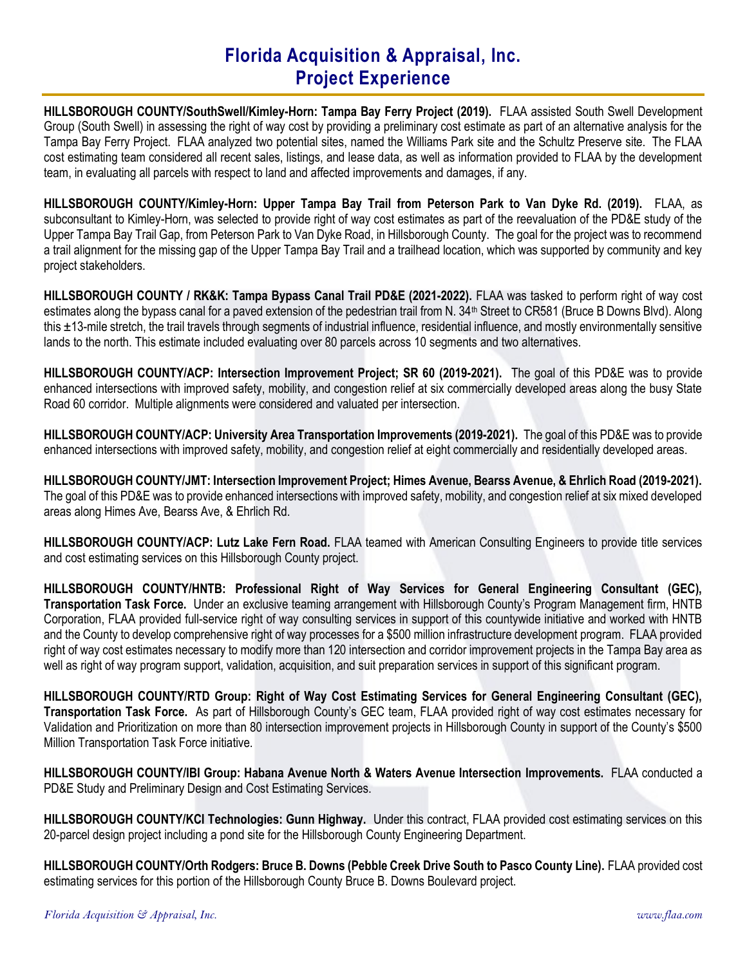HILLSBOROUGH COUNTY/SouthSwell/Kimley-Horn: Tampa Bay Ferry Project (2019). FLAA assisted South Swell Development Group (South Swell) in assessing the right of way cost by providing a preliminary cost estimate as part of an alternative analysis for the Tampa Bay Ferry Project. FLAA analyzed two potential sites, named the Williams Park site and the Schultz Preserve site. The FLAA cost estimating team considered all recent sales, listings, and lease data, as well as information provided to FLAA by the development team, in evaluating all parcels with respect to land and affected improvements and damages, if any.

HILLSBOROUGH COUNTY/Kimley-Horn: Upper Tampa Bay Trail from Peterson Park to Van Dyke Rd. (2019). FLAA, as subconsultant to Kimley-Horn, was selected to provide right of way cost estimates as part of the reevaluation of the PD&E study of the Upper Tampa Bay Trail Gap, from Peterson Park to Van Dyke Road, in Hillsborough County. The goal for the project was to recommend a trail alignment for the missing gap of the Upper Tampa Bay Trail and a trailhead location, which was supported by community and key project stakeholders.

HILLSBOROUGH COUNTY / RK&K: Tampa Bypass Canal Trail PD&E (2021-2022). FLAA was tasked to perform right of way cost estimates along the bypass canal for a paved extension of the pedestrian trail from N. 34<sup>th</sup> Street to CR581 (Bruce B Downs Blvd). Along this ±13-mile stretch, the trail travels through segments of industrial influence, residential influence, and mostly environmentally sensitive lands to the north. This estimate included evaluating over 80 parcels across 10 segments and two alternatives.

HILLSBOROUGH COUNTY/ACP: Intersection Improvement Project; SR 60 (2019-2021). The goal of this PD&E was to provide enhanced intersections with improved safety, mobility, and congestion relief at six commercially developed areas along the busy State Road 60 corridor. Multiple alignments were considered and valuated per intersection.

HILLSBOROUGH COUNTY/ACP: University Area Transportation Improvements (2019-2021). The goal of this PD&E was to provide enhanced intersections with improved safety, mobility, and congestion relief at eight commercially and residentially developed areas.

HILLSBOROUGH COUNTY/JMT: Intersection Improvement Project; Himes Avenue, Bearss Avenue, & Ehrlich Road (2019-2021). The goal of this PD&E was to provide enhanced intersections with improved safety, mobility, and congestion relief at six mixed developed areas along Himes Ave, Bearss Ave, & Ehrlich Rd.

HILLSBOROUGH COUNTY/ACP: Lutz Lake Fern Road. FLAA teamed with American Consulting Engineers to provide title services and cost estimating services on this Hillsborough County project.

HILLSBOROUGH COUNTY/HNTB: Professional Right of Way Services for General Engineering Consultant (GEC), Transportation Task Force. Under an exclusive teaming arrangement with Hillsborough County's Program Management firm, HNTB Corporation, FLAA provided full-service right of way consulting services in support of this countywide initiative and worked with HNTB and the County to develop comprehensive right of way processes for a \$500 million infrastructure development program. FLAA provided right of way cost estimates necessary to modify more than 120 intersection and corridor improvement projects in the Tampa Bay area as well as right of way program support, validation, acquisition, and suit preparation services in support of this significant program.

HILLSBOROUGH COUNTY/RTD Group: Right of Way Cost Estimating Services for General Engineering Consultant (GEC), Transportation Task Force. As part of Hillsborough County's GEC team, FLAA provided right of way cost estimates necessary for Validation and Prioritization on more than 80 intersection improvement projects in Hillsborough County in support of the County's \$500 Million Transportation Task Force initiative.

HILLSBOROUGH COUNTY/IBI Group: Habana Avenue North & Waters Avenue Intersection Improvements. FLAA conducted a PD&E Study and Preliminary Design and Cost Estimating Services.

HILLSBOROUGH COUNTY/KCI Technologies: Gunn Highway. Under this contract, FLAA provided cost estimating services on this 20-parcel design project including a pond site for the Hillsborough County Engineering Department.

HILLSBOROUGH COUNTY/Orth Rodgers: Bruce B. Downs (Pebble Creek Drive South to Pasco County Line). FLAA provided cost estimating services for this portion of the Hillsborough County Bruce B. Downs Boulevard project.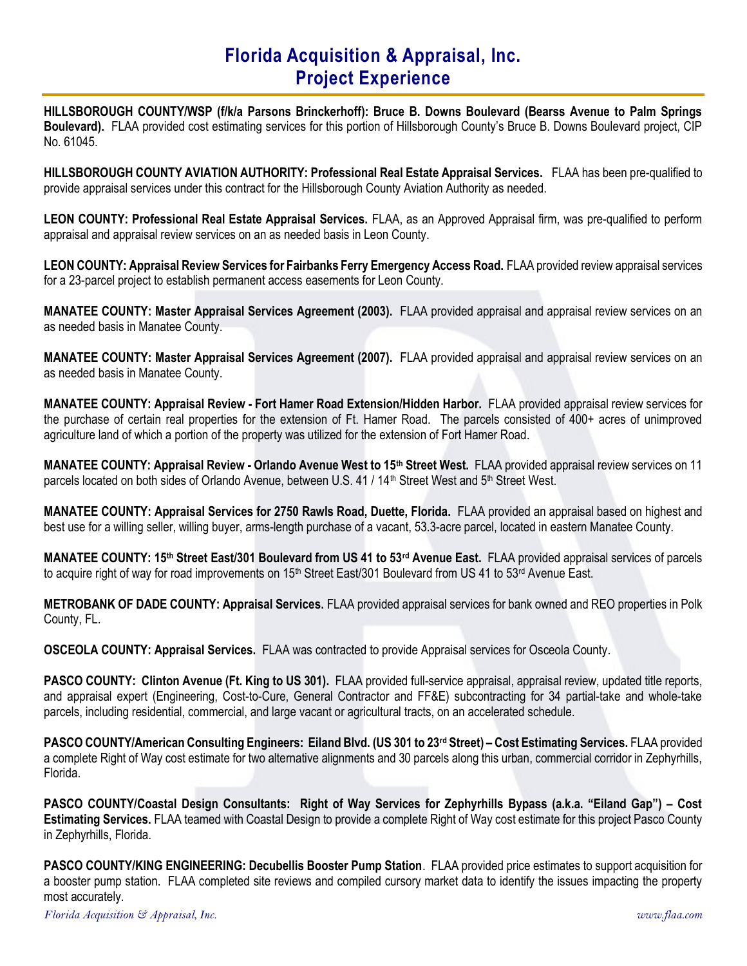HILLSBOROUGH COUNTY/WSP (f/k/a Parsons Brinckerhoff): Bruce B. Downs Boulevard (Bearss Avenue to Palm Springs Boulevard). FLAA provided cost estimating services for this portion of Hillsborough County's Bruce B. Downs Boulevard project, CIP No. 61045.

HILLSBOROUGH COUNTY AVIATION AUTHORITY: Professional Real Estate Appraisal Services. FLAA has been pre-qualified to provide appraisal services under this contract for the Hillsborough County Aviation Authority as needed.

LEON COUNTY: Professional Real Estate Appraisal Services. FLAA, as an Approved Appraisal firm, was pre-qualified to perform appraisal and appraisal review services on an as needed basis in Leon County.

LEON COUNTY: Appraisal Review Services for Fairbanks Ferry Emergency Access Road. FLAA provided review appraisal services for a 23-parcel project to establish permanent access easements for Leon County.

MANATEE COUNTY: Master Appraisal Services Agreement (2003). FLAA provided appraisal and appraisal review services on an as needed basis in Manatee County.

MANATEE COUNTY: Master Appraisal Services Agreement (2007). FLAA provided appraisal and appraisal review services on an as needed basis in Manatee County.

MANATEE COUNTY: Appraisal Review - Fort Hamer Road Extension/Hidden Harbor. FLAA provided appraisal review services for the purchase of certain real properties for the extension of Ft. Hamer Road. The parcels consisted of 400+ acres of unimproved agriculture land of which a portion of the property was utilized for the extension of Fort Hamer Road.

MANATEE COUNTY: Appraisal Review - Orlando Avenue West to 15<sup>th</sup> Street West. FLAA provided appraisal review services on 11 parcels located on both sides of Orlando Avenue, between U.S. 41 / 14<sup>th</sup> Street West and 5<sup>th</sup> Street West.

MANATEE COUNTY: Appraisal Services for 2750 Rawls Road, Duette, Florida. FLAA provided an appraisal based on highest and best use for a willing seller, willing buyer, arms-length purchase of a vacant, 53.3-acre parcel, located in eastern Manatee County.

MANATEE COUNTY: 15<sup>th</sup> Street East/301 Boulevard from US 41 to 53<sup>rd</sup> Avenue East. FLAA provided appraisal services of parcels to acquire right of way for road improvements on 15<sup>th</sup> Street East/301 Boulevard from US 41 to 53<sup>rd</sup> Avenue East.

METROBANK OF DADE COUNTY: Appraisal Services. FLAA provided appraisal services for bank owned and REO properties in Polk County, FL.

OSCEOLA COUNTY: Appraisal Services. FLAA was contracted to provide Appraisal services for Osceola County.

PASCO COUNTY: Clinton Avenue (Ft. King to US 301). FLAA provided full-service appraisal, appraisal review, updated title reports, and appraisal expert (Engineering, Cost-to-Cure, General Contractor and FF&E) subcontracting for 34 partial-take and whole-take parcels, including residential, commercial, and large vacant or agricultural tracts, on an accelerated schedule.

PASCO COUNTY/American Consulting Engineers: Eiland Blvd. (US 301 to 23rd Street) – Cost Estimating Services. FLAA provided a complete Right of Way cost estimate for two alternative alignments and 30 parcels along this urban, commercial corridor in Zephyrhills, Florida.

PASCO COUNTY/Coastal Design Consultants: Right of Way Services for Zephyrhills Bypass (a.k.a. "Eiland Gap") – Cost Estimating Services. FLAA teamed with Coastal Design to provide a complete Right of Way cost estimate for this project Pasco County in Zephyrhills, Florida.

PASCO COUNTY/KING ENGINEERING: Decubellis Booster Pump Station. FLAA provided price estimates to support acquisition for a booster pump station. FLAA completed site reviews and compiled cursory market data to identify the issues impacting the property most accurately.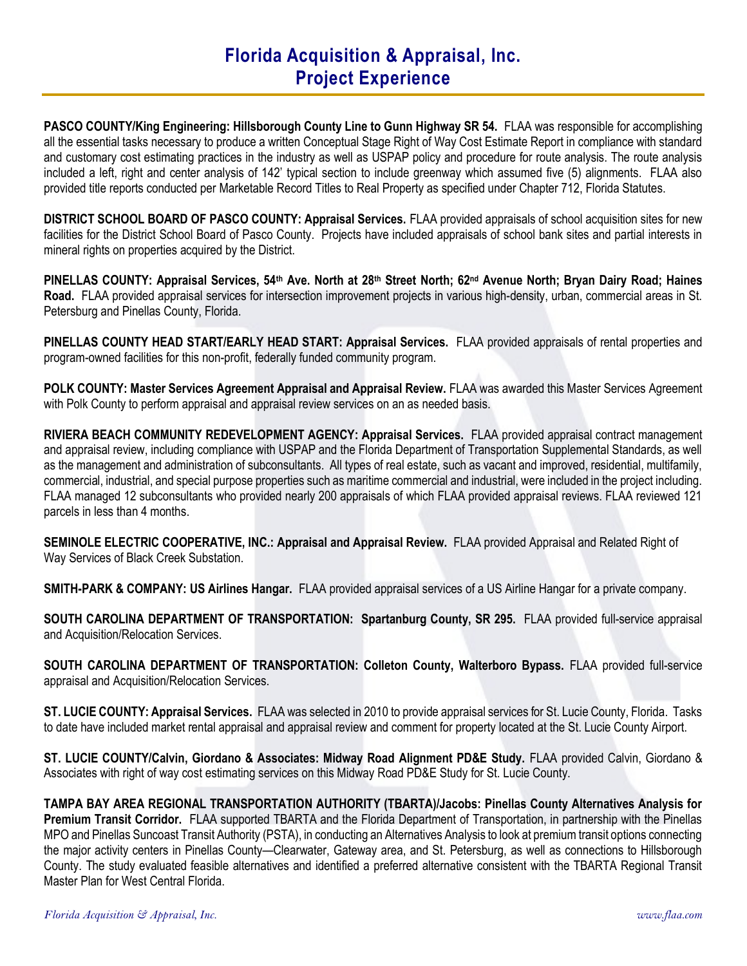PASCO COUNTY/King Engineering: Hillsborough County Line to Gunn Highway SR 54. FLAA was responsible for accomplishing all the essential tasks necessary to produce a written Conceptual Stage Right of Way Cost Estimate Report in compliance with standard and customary cost estimating practices in the industry as well as USPAP policy and procedure for route analysis. The route analysis included a left, right and center analysis of 142' typical section to include greenway which assumed five (5) alignments. FLAA also provided title reports conducted per Marketable Record Titles to Real Property as specified under Chapter 712, Florida Statutes.

DISTRICT SCHOOL BOARD OF PASCO COUNTY: Appraisal Services. FLAA provided appraisals of school acquisition sites for new facilities for the District School Board of Pasco County. Projects have included appraisals of school bank sites and partial interests in mineral rights on properties acquired by the District.

PINELLAS COUNTY: Appraisal Services, 54<sup>th</sup> Ave. North at 28<sup>th</sup> Street North; 62<sup>nd</sup> Avenue North; Bryan Dairy Road; Haines Road. FLAA provided appraisal services for intersection improvement projects in various high-density, urban, commercial areas in St. Petersburg and Pinellas County, Florida.

PINELLAS COUNTY HEAD START/EARLY HEAD START: Appraisal Services. FLAA provided appraisals of rental properties and program-owned facilities for this non-profit, federally funded community program.

POLK COUNTY: Master Services Agreement Appraisal and Appraisal Review. FLAA was awarded this Master Services Agreement with Polk County to perform appraisal and appraisal review services on an as needed basis.

RIVIERA BEACH COMMUNITY REDEVELOPMENT AGENCY: Appraisal Services. FLAA provided appraisal contract management and appraisal review, including compliance with USPAP and the Florida Department of Transportation Supplemental Standards, as well as the management and administration of subconsultants. All types of real estate, such as vacant and improved, residential, multifamily, commercial, industrial, and special purpose properties such as maritime commercial and industrial, were included in the project including. FLAA managed 12 subconsultants who provided nearly 200 appraisals of which FLAA provided appraisal reviews. FLAA reviewed 121 parcels in less than 4 months.

SEMINOLE ELECTRIC COOPERATIVE, INC.: Appraisal and Appraisal Review. FLAA provided Appraisal and Related Right of Way Services of Black Creek Substation.

SMITH-PARK & COMPANY: US Airlines Hangar. FLAA provided appraisal services of a US Airline Hangar for a private company.

SOUTH CAROLINA DEPARTMENT OF TRANSPORTATION: Spartanburg County, SR 295. FLAA provided full-service appraisal and Acquisition/Relocation Services.

SOUTH CAROLINA DEPARTMENT OF TRANSPORTATION: Colleton County, Walterboro Bypass. FLAA provided full-service appraisal and Acquisition/Relocation Services.

ST. LUCIE COUNTY: Appraisal Services. FLAA was selected in 2010 to provide appraisal services for St. Lucie County, Florida. Tasks to date have included market rental appraisal and appraisal review and comment for property located at the St. Lucie County Airport.

ST. LUCIE COUNTY/Calvin, Giordano & Associates: Midway Road Alignment PD&E Study. FLAA provided Calvin, Giordano & Associates with right of way cost estimating services on this Midway Road PD&E Study for St. Lucie County.

TAMPA BAY AREA REGIONAL TRANSPORTATION AUTHORITY (TBARTA)/Jacobs: Pinellas County Alternatives Analysis for Premium Transit Corridor. FLAA supported TBARTA and the Florida Department of Transportation, in partnership with the Pinellas MPO and Pinellas Suncoast Transit Authority (PSTA), in conducting an Alternatives Analysis to look at premium transit options connecting the major activity centers in Pinellas County—Clearwater, Gateway area, and St. Petersburg, as well as connections to Hillsborough County. The study evaluated feasible alternatives and identified a preferred alternative consistent with the TBARTA Regional Transit Master Plan for West Central Florida.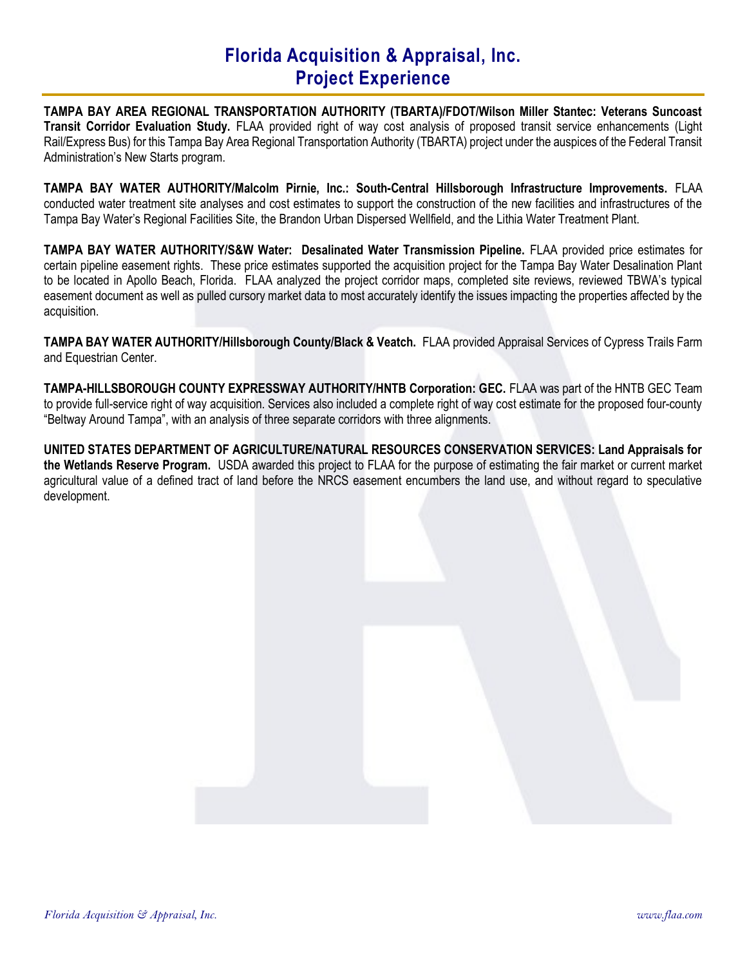TAMPA BAY AREA REGIONAL TRANSPORTATION AUTHORITY (TBARTA)/FDOT/Wilson Miller Stantec: Veterans Suncoast Transit Corridor Evaluation Study. FLAA provided right of way cost analysis of proposed transit service enhancements (Light Rail/Express Bus) for this Tampa Bay Area Regional Transportation Authority (TBARTA) project under the auspices of the Federal Transit Administration's New Starts program.

TAMPA BAY WATER AUTHORITY/Malcolm Pirnie, Inc.: South-Central Hillsborough Infrastructure Improvements. FLAA conducted water treatment site analyses and cost estimates to support the construction of the new facilities and infrastructures of the Tampa Bay Water's Regional Facilities Site, the Brandon Urban Dispersed Wellfield, and the Lithia Water Treatment Plant.

TAMPA BAY WATER AUTHORITY/S&W Water: Desalinated Water Transmission Pipeline. FLAA provided price estimates for certain pipeline easement rights. These price estimates supported the acquisition project for the Tampa Bay Water Desalination Plant to be located in Apollo Beach, Florida. FLAA analyzed the project corridor maps, completed site reviews, reviewed TBWA's typical easement document as well as pulled cursory market data to most accurately identify the issues impacting the properties affected by the acquisition.

TAMPA BAY WATER AUTHORITY/Hillsborough County/Black & Veatch. FLAA provided Appraisal Services of Cypress Trails Farm and Equestrian Center.

TAMPA-HILLSBOROUGH COUNTY EXPRESSWAY AUTHORITY/HNTB Corporation: GEC. FLAA was part of the HNTB GEC Team to provide full-service right of way acquisition. Services also included a complete right of way cost estimate for the proposed four-county "Beltway Around Tampa", with an analysis of three separate corridors with three alignments.

UNITED STATES DEPARTMENT OF AGRICULTURE/NATURAL RESOURCES CONSERVATION SERVICES: Land Appraisals for the Wetlands Reserve Program. USDA awarded this project to FLAA for the purpose of estimating the fair market or current market agricultural value of a defined tract of land before the NRCS easement encumbers the land use, and without regard to speculative development.